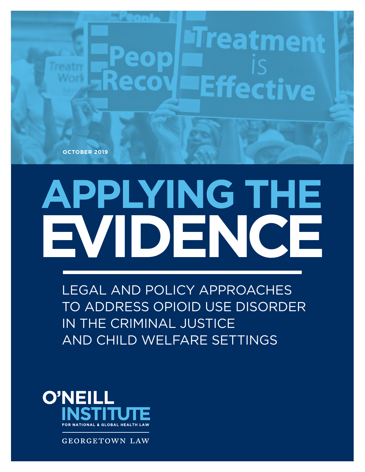**OCTOBER 2019**

# **EVIDENCE APPLYING THE**

**Effective** 

1 LEGAL AND POLICY APPROACHES TO ADDRESS OPIOID USE DISORDER IN THE CRIMINAL JUSTICE AND CHILD WELFARE SETTINGS

LEGAL AND POLICY APPROACHES TO ADDRESS OPIOID USE DISORDER IN THE CRIMINAL JUSTICE AND CHILD WELFARE SETTINGS



**GEORGETOWN LAW**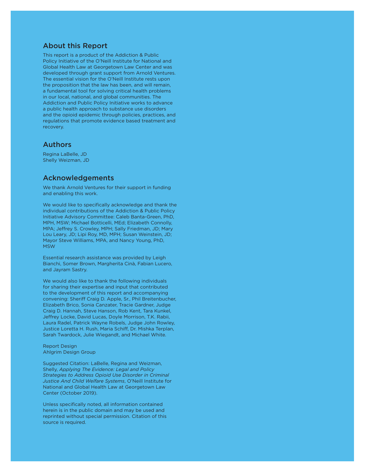#### About this Report

This report is a product of the Addiction & Public Policy Initiative of the O'Neill Institute for National and Global Health Law at Georgetown Law Center and was developed through grant support from Arnold Ventures. The essential vision for the O'Neill Institute rests upon the proposition that the law has been, and will remain, a fundamental tool for solving critical health problems in our local, national, and global communities. The Addiction and Public Policy Initiative works to advance a public health approach to substance use disorders and the opioid epidemic through policies, practices, and regulations that promote evidence based treatment and recovery.

#### Authors

Regina LaBelle, JD Shelly Weizman, JD

#### Acknowledgements

We thank Arnold Ventures for their support in funding and enabling this work.

We would like to specifically acknowledge and thank the individual contributions of the Addiction & Public Policy Initiative Advisory Committee: Caleb Banta-Green, PhD, MPH, MSW; Michael Botticelli, MEd; Elizabeth Connolly, MPA; Jeffrey S. Crowley, MPH; Sally Friedman, JD; Mary Lou Leary, JD; Lipi Roy, MD, MPH; Susan Weinstein, JD; Mayor Steve Williams, MPA, and Nancy Young, PhD, MSW

Essential research assistance was provided by Leigh Bianchi, Somer Brown, Margherita Cinà, Fabian Lucero, and Jayram Sastry.

We would also like to thank the following individuals for sharing their expertise and input that contributed to the development of this report and accompanying convening: Sheriff Craig D. Apple, Sr., Phil Breitenbucher, Elizabeth Brico, Sonia Canzater, Tracie Gardner, Judge Craig D. Hannah, Steve Hanson, Rob Kent, Tara Kunkel, Jeffrey Locke, David Lucas, Doyle Morrison, T.K. Rabii, Laura Radel, Patrick Wayne Robels, Judge John Rowley, Justice Loretta H. Rush, Maria Schiff, Dr. Mishka Terplan, Sarah Twardock, Julie Wiegandt, and Michael White.

Report Design Ahlgrim Design Group

Suggested Citation: LaBelle, Regina and Weizman, Shelly, *Applying The Evidence: Legal and Policy Strategies to Address Opioid Use Disorder in Criminal Justice And Child Welfare Systems*, O'Neill Institute for National and Global Health Law at Georgetown Law Center (October 2019).

Unless specifically noted, all information contained herein is in the public domain and may be used and reprinted without special permission. Citation of this source is required.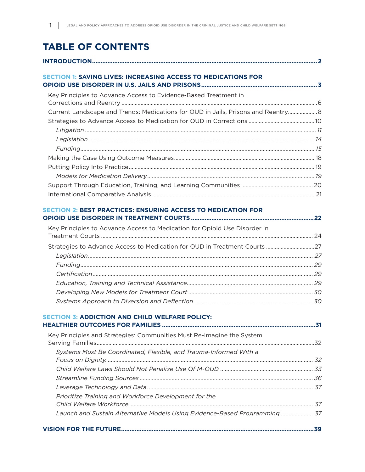# **TABLE OF CONTENTS**

| <b>SECTION 1: SAVING LIVES: INCREASING ACCESS TO MEDICATIONS FOR</b>              |  |
|-----------------------------------------------------------------------------------|--|
| Key Principles to Advance Access to Evidence-Based Treatment in                   |  |
|                                                                                   |  |
| Current Landscape and Trends: Medications for OUD in Jails, Prisons and Reentry 8 |  |
|                                                                                   |  |
|                                                                                   |  |
|                                                                                   |  |
|                                                                                   |  |
|                                                                                   |  |
|                                                                                   |  |
|                                                                                   |  |
|                                                                                   |  |
|                                                                                   |  |
| <b>SECTION 2: BEST PRACTICES: ENSURING ACCESS TO MEDICATION FOR</b>               |  |
|                                                                                   |  |
| Key Principles to Advance Access to Medication for Opioid Use Disorder in         |  |
|                                                                                   |  |
|                                                                                   |  |
|                                                                                   |  |
|                                                                                   |  |
|                                                                                   |  |
|                                                                                   |  |
|                                                                                   |  |
|                                                                                   |  |
| <b>SECTION 3: ADDICTION AND CHILD WELFARE POLICY:</b>                             |  |
|                                                                                   |  |
| Key Principles and Strategies: Communities Must Re-Imagine the System             |  |
|                                                                                   |  |
| Systems Must Be Coordinated, Flexible, and Trauma-Informed With a                 |  |
|                                                                                   |  |
|                                                                                   |  |
|                                                                                   |  |
|                                                                                   |  |
| Prioritize Training and Workforce Development for the                             |  |
|                                                                                   |  |
| Launch and Sustain Alternative Models Using Evidence-Based Programming 37         |  |
|                                                                                   |  |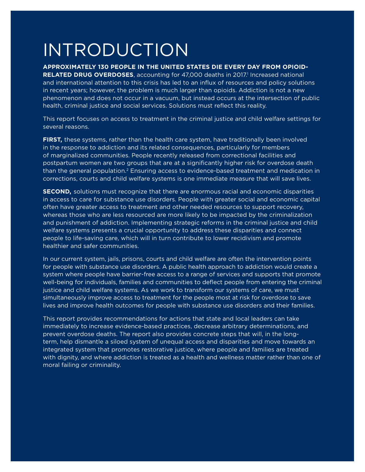# INTRODUCTION

#### **APPROXIMATELY 130 PEOPLE IN THE UNITED STATES DIE EVERY DAY FROM OPIOID-**

RELATED DRUG OVERDOSES, accounting for 47,000 deaths in 2017.<sup>1</sup> Increased national and international attention to this crisis has led to an influx of resources and policy solutions in recent years; however, the problem is much larger than opioids. Addiction is not a new phenomenon and does not occur in a vacuum, but instead occurs at the intersection of public health, criminal justice and social services. Solutions must reflect this reality.

This report focuses on access to treatment in the criminal justice and child welfare settings for several reasons.

**FIRST,** these systems, rather than the health care system, have traditionally been involved in the response to addiction and its related consequences, particularly for members of marginalized communities. People recently released from correctional facilities and postpartum women are two groups that are at a significantly higher risk for overdose death than the general population.<sup>2</sup> Ensuring access to evidence-based treatment and medication in corrections, courts and child welfare systems is one immediate measure that will save lives.

**SECOND,** solutions must recognize that there are enormous racial and economic disparities in access to care for substance use disorders. People with greater social and economic capital often have greater access to treatment and other needed resources to support recovery, whereas those who are less resourced are more likely to be impacted by the criminalization and punishment of addiction. Implementing strategic reforms in the criminal justice and child welfare systems presents a crucial opportunity to address these disparities and connect people to life-saving care, which will in turn contribute to lower recidivism and promote healthier and safer communities.

In our current system, jails, prisons, courts and child welfare are often the intervention points for people with substance use disorders. A public health approach to addiction would create a system where people have barrier-free access to a range of services and supports that promote well-being for individuals, families and communities to deflect people from entering the criminal justice and child welfare systems. As we work to transform our systems of care, we must simultaneously improve access to treatment for the people most at risk for overdose to save lives and improve health outcomes for people with substance use disorders and their families.

This report provides recommendations for actions that state and local leaders can take immediately to increase evidence-based practices, decrease arbitrary determinations, and prevent overdose deaths. The report also provides concrete steps that will, in the longterm, help dismantle a siloed system of unequal access and disparities and move towards an integrated system that promotes restorative justice, where people and families are treated with dignity, and where addiction is treated as a health and wellness matter rather than one of moral failing or criminality.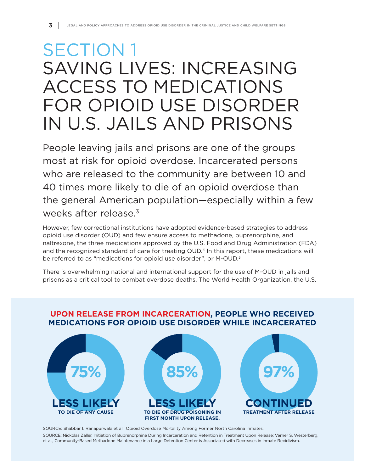# SECTION 1 SAVING LIVES: INCREASING ACCESS TO MEDICATIONS FOR OPIOID USE DISORDER IN U.S. JAILS AND PRISONS

People leaving jails and prisons are one of the groups most at risk for opioid overdose. Incarcerated persons who are released to the community are between 10 and 40 times more likely to die of an opioid overdose than the general American population—especially within a few weeks after release.<sup>3</sup>

However, few correctional institutions have adopted evidence-based strategies to address opioid use disorder (OUD) and few ensure access to methadone, buprenorphine, and naltrexone, the three medications approved by the U.S. Food and Drug Administration (FDA) and the recognized standard of care for treating OUD.<sup>4</sup> In this report, these medications will be referred to as "medications for opioid use disorder", or M-OUD.<sup>5</sup>

There is overwhelming national and international support for the use of M-OUD in jails and prisons as a critical tool to combat overdose deaths. The World Health Organization, the U.S.



### **UPON RELEASE FROM INCARCERATION, PEOPLE WHO RECEIVED MEDICATIONS FOR OPIOID USE DISORDER WHILE INCARCERATED**

SOURCE: Shabbar I. Ranapurwala et al., Opioid Overdose Mortality Among Former North Carolina Inmates. SOURCE: Nickolas Zaller, Initiation of Buprenorphine During Incarceration and Retention in Treatment Upon Release; Verner S. Westerberg, et al., Community-Based Methadone Maintenance in a Large Detention Center is Associated with Decreases in Inmate Recidivism.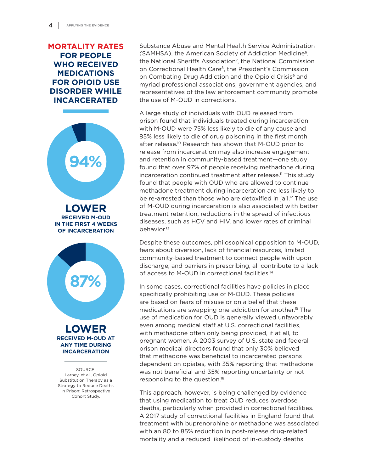### **MORTALITY RATES FOR PEOPLE WHO RECEIVED MEDICATIONS FOR OPIOID USE DISORDER WHILE INCARCERATED**



**ANY TIME DURING INCARCERATION**

SOURCE: Larney, et al., Opioid Substitution Therapy as a Strategy to Reduce Deaths in Prison: Retrospective Cohort Study.

Substance Abuse and Mental Health Service Administration (SAMHSA), the American Society of Addiction Medicine6, the National Sheriffs Association<sup>7</sup>, the National Commission on Correctional Health Care<sup>8</sup>, the President's Commission on Combating Drug Addiction and the Opioid Crisis<sup>9</sup> and myriad professional associations, government agencies, and representatives of the law enforcement community promote the use of M-OUD in corrections.

A large study of individuals with OUD released from prison found that individuals treated during incarceration with M-OUD were 75% less likely to die of any cause and 85% less likely to die of drug poisoning in the first month after release.<sup>10</sup> Research has shown that M-OUD prior to release from incarceration may also increase engagement and retention in community-based treatment—one study found that over 97% of people receiving methadone during incarceration continued treatment after release.<sup>11</sup> This study found that people with OUD who are allowed to continue methadone treatment during incarceration are less likely to be re-arrested than those who are detoxified in jail.<sup>12</sup> The use of M-OUD during incarceration is also associated with better treatment retention, reductions in the spread of infectious diseases, such as HCV and HIV, and lower rates of criminal behavior.<sup>13</sup>

Despite these outcomes, philosophical opposition to M-OUD, fears about diversion, lack of financial resources, limited community-based treatment to connect people with upon discharge, and barriers in prescribing, all contribute to a lack of access to M-OUD in correctional facilities.14

In some cases, correctional facilities have policies in place specifically prohibiting use of M-OUD. These policies are based on fears of misuse or on a belief that these medications are swapping one addiction for another.15 The use of medication for OUD is generally viewed unfavorably even among medical staff at U.S. correctional facilities, with methadone often only being provided, if at all, to pregnant women. A 2003 survey of U.S. state and federal prison medical directors found that only 30% believed that methadone was beneficial to incarcerated persons dependent on opiates, with 35% reporting that methadone was not beneficial and 35% reporting uncertainty or not responding to the question.16

This approach, however, is being challenged by evidence that using medication to treat OUD reduces overdose deaths, particularly when provided in correctional facilities. A 2017 study of correctional facilities in England found that treatment with buprenorphine or methadone was associated with an 80 to 85% reduction in post-release drug-related mortality and a reduced likelihood of in-custody deaths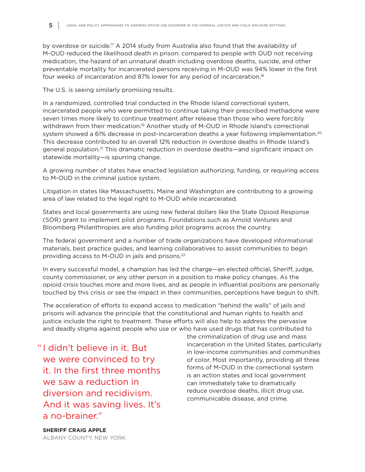by overdose or suicide.<sup>17</sup> A 2014 study from Australia also found that the availability of M-OUD reduced the likelihood death in prison: compared to people with OUD not receiving medication, the hazard of an unnatural death including overdose deaths, suicide, and other preventable mortality for incarcerated persons receiving in M-OUD was 94% lower in the first four weeks of incarceration and 87% lower for any period of incarceration.18

The U.S. is seeing similarly promising results.

In a randomized, controlled trial conducted in the Rhode Island correctional system, incarcerated people who were permitted to continue taking their prescribed methadone were seven times more likely to continue treatment after release than those who were forcibly withdrawn from their medication.<sup>19</sup> Another study of M-OUD in Rhode Island's correctional system showed a 61% decrease in post-incarceration deaths a year following implementation.<sup>20</sup> This decrease contributed to an overall 12% reduction in overdose deaths in Rhode Island's general population.21 This dramatic reduction in overdose deaths—and significant impact on statewide mortality—is spurring change.

A growing number of states have enacted legislation authorizing, funding, or requiring access to M-OUD in the criminal justice system.

Litigation in states like Massachusetts, Maine and Washington are contributing to a growing area of law related to the legal right to M-OUD while incarcerated.

States and local governments are using new federal dollars like the State Opioid Response (SOR) grant to implement pilot programs. Foundations such as Arnold Ventures and Bloomberg Philanthropies are also funding pilot programs across the country.

The federal government and a number of trade organizations have developed informational materials, best practice guides, and learning collaboratives to assist communities to begin providing access to M-OUD in jails and prisons.<sup>22</sup>

In every successful model, a champion has led the charge—an elected official, Sheriff, judge, county commissioner, or any other person in a position to make policy changes. As the opioid crisis touches more and more lives, and as people in influential positions are personally touched by this crisis or see the impact in their communities, perceptions have begun to shift.

The acceleration of efforts to expand access to medication "behind the walls" of jails and prisons will advance the principle that the constitutional and human rights to health and justice include the right to treatment. These efforts will also help to address the pervasive and deadly stigma against people who use or who have used drugs that has contributed to

" I didn't believe in it. But we were convinced to try it. In the first three months we saw a reduction in diversion and recidivism. And it was saving lives. It's a no-brainer."

the criminalization of drug use and mass incarceration in the United States, particularly in low-income communities and communities of color. Most importantly, providing all three forms of M-OUD in the correctional system is an action states and local government can immediately take to dramatically reduce overdose deaths, illicit drug use, communicable disease, and crime.

**SHERIFF CRAIG APPLE** ALBANY COUNTY, NEW YORK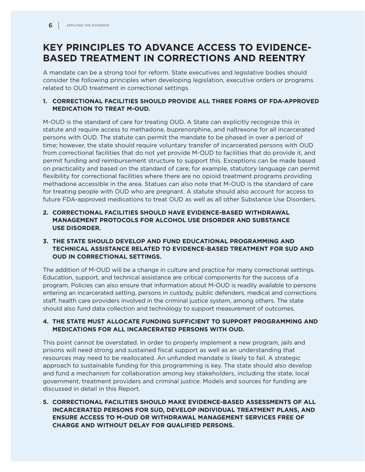# **KEY PRINCIPLES TO ADVANCE ACCESS TO EVIDENCE-BASED TREATMENT IN CORRECTIONS AND REENTRY**

A mandate can be a strong tool for reform. State executives and legislative bodies should consider the following principles when developing legislation, executive orders or programs related to OUD treatment in correctional settings.

#### **1. CORRECTIONAL FACILITIES SHOULD PROVIDE ALL THREE FORMS OF FDA-APPROVED MEDICATION TO TREAT M-OUD.**

M-OUD is the standard of care for treating OUD. A State can explicitly recognize this in statute and require access to methadone, buprenorphine, and naltrexone for all incarcerated persons with OUD. The statute can permit the mandate to be phased in over a period of time; however, the state should require voluntary transfer of incarcerated persons with OUD from correctional facilities that do not yet provide M-OUD to facilities that do provide it, and permit funding and reimbursement structure to support this. Exceptions can be made based on practicality and based on the standard of care; for example, statutory language can permit flexibility for correctional facilities where there are no opioid treatment programs providing methadone accessible in the area. Statues can also note that M-OUD is the standard of care for treating people with OUD who are pregnant. A statute should also account for access to future FDA-approved medications to treat OUD as well as all other Substance Use Disorders.

- **2. CORRECTIONAL FACILITIES SHOULD HAVE EVIDENCE-BASED WITHDRAWAL MANAGEMENT PROTOCOLS FOR ALCOHOL USE DISORDER AND SUBSTANCE USE DISORDER.**
- **3. THE STATE SHOULD DEVELOP AND FUND EDUCATIONAL PROGRAMMING AND TECHNICAL ASSISTANCE RELATED TO EVIDENCE-BASED TREATMENT FOR SUD AND OUD IN CORRECTIONAL SETTINGS.**

The addition of M-OUD will be a change in culture and practice for many correctional settings. Education, support, and technical assistance are critical components for the success of a program. Policies can also ensure that information about M-OUD is readily available to persons entering an incarcerated setting, persons in custody, public defenders, medical and corrections staff, health care providers involved in the criminal justice system, among others. The state should also fund data collection and technology to support measurement of outcomes.

#### **4. THE STATE MUST ALLOCATE FUNDING SUFFICIENT TO SUPPORT PROGRAMMING AND MEDICATIONS FOR ALL INCARCERATED PERSONS WITH OUD.**

This point cannot be overstated. In order to properly implement a new program, jails and prisons will need strong and sustained fiscal support as well as an understanding that resources may need to be reallocated. An unfunded mandate is likely to fail. A strategic approach to sustainable funding for this programming is key. The state should also develop and fund a mechanism for collaboration among key stakeholders, including the state, local government, treatment providers and criminal justice. Models and sources for funding are discussed in detail in this Report.

**5. CORRECTIONAL FACILITIES SHOULD MAKE EVIDENCE-BASED ASSESSMENTS OF ALL INCARCERATED PERSONS FOR SUD, DEVELOP INDIVIDUAL TREATMENT PLANS, AND ENSURE ACCESS TO M-OUD OR WITHDRAWAL MANAGEMENT SERVICES FREE OF CHARGE AND WITHOUT DELAY FOR QUALIFIED PERSONS.**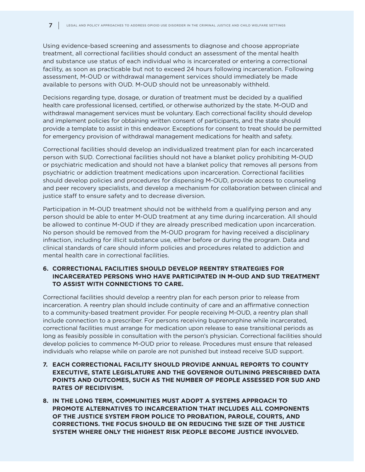Using evidence-based screening and assessments to diagnose and choose appropriate treatment, all correctional facilities should conduct an assessment of the mental health and substance use status of each individual who is incarcerated or entering a correctional facility, as soon as practicable but not to exceed 24 hours following incarceration. Following assessment, M-OUD or withdrawal management services should immediately be made available to persons with OUD. M-OUD should not be unreasonably withheld.

Decisions regarding type, dosage, or duration of treatment must be decided by a qualified health care professional licensed, certified, or otherwise authorized by the state. M-OUD and withdrawal management services must be voluntary. Each correctional facility should develop and implement policies for obtaining written consent of participants, and the state should provide a template to assist in this endeavor. Exceptions for consent to treat should be permitted for emergency provision of withdrawal management medications for health and safety.

Correctional facilities should develop an individualized treatment plan for each incarcerated person with SUD. Correctional facilities should not have a blanket policy prohibiting M-OUD or psychiatric medication and should not have a blanket policy that removes all persons from psychiatric or addiction treatment medications upon incarceration. Correctional facilities should develop policies and procedures for dispensing M-OUD, provide access to counseling and peer recovery specialists, and develop a mechanism for collaboration between clinical and justice staff to ensure safety and to decrease diversion.

Participation in M-OUD treatment should not be withheld from a qualifying person and any person should be able to enter M-OUD treatment at any time during incarceration. All should be allowed to continue M-OUD if they are already prescribed medication upon incarceration. No person should be removed from the M-OUD program for having received a disciplinary infraction, including for illicit substance use, either before or during the program. Data and clinical standards of care should inform policies and procedures related to addiction and mental health care in correctional facilities.

#### **6. CORRECTIONAL FACILITIES SHOULD DEVELOP REENTRY STRATEGIES FOR INCARCERATED PERSONS WHO HAVE PARTICIPATED IN M-OUD AND SUD TREATMENT TO ASSIST WITH CONNECTIONS TO CARE.**

Correctional facilities should develop a reentry plan for each person prior to release from incarceration. A reentry plan should include continuity of care and an affirmative connection to a community-based treatment provider. For people receiving M-OUD, a reentry plan shall include connection to a prescriber. For persons receiving buprenorphine while incarcerated, correctional facilities must arrange for medication upon release to ease transitional periods as long as feasibly possible in consultation with the person's physician. Correctional facilities should develop policies to commence M-OUD prior to release. Procedures must ensure that released individuals who relapse while on parole are not punished but instead receive SUD support.

- **7. EACH CORRECTIONAL FACILITY SHOULD PROVIDE ANNUAL REPORTS TO COUNTY EXECUTIVE, STATE LEGISLATURE AND THE GOVERNOR OUTLINING PRESCRIBED DATA POINTS AND OUTCOMES, SUCH AS THE NUMBER OF PEOPLE ASSESSED FOR SUD AND RATES OF RECIDIVISM.**
- **8. IN THE LONG TERM, COMMUNITIES MUST ADOPT A SYSTEMS APPROACH TO PROMOTE ALTERNATIVES TO INCARCERATION THAT INCLUDES ALL COMPONENTS OF THE JUSTICE SYSTEM FROM POLICE TO PROBATION, PAROLE, COURTS, AND CORRECTIONS. THE FOCUS SHOULD BE ON REDUCING THE SIZE OF THE JUSTICE SYSTEM WHERE ONLY THE HIGHEST RISK PEOPLE BECOME JUSTICE INVOLVED.**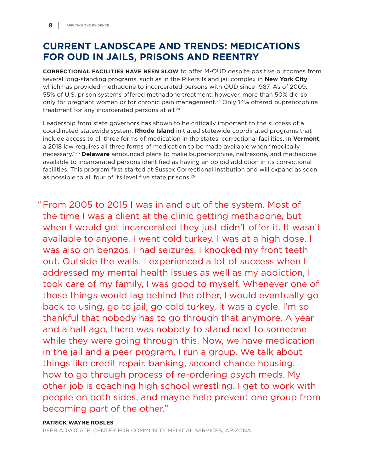# **CURRENT LANDSCAPE AND TRENDS: MEDICATIONS FOR OUD IN JAILS, PRISONS AND REENTRY**

**CORRECTIONAL FACILITIES HAVE BEEN SLOW** to offer M-OUD despite positive outcomes from several long-standing programs, such as in the Rikers Island jail complex in **New York City** which has provided methadone to incarcerated persons with OUD since 1987. As of 2009, 55% of U.S. prison systems offered methadone treatment; however, more than 50% did so only for pregnant women or for chronic pain management.<sup>23</sup> Only 14% offered buprenorphine treatment for any incarcerated persons at all.<sup>24</sup>

Leadership from state governors has shown to be critically important to the success of a coordinated statewide system. **Rhode Island** initiated statewide coordinated programs that include access to all three forms of medication in the states' correctional facilities. In **Vermont**, a 2018 law requires all three forms of medication to be made available when "medically necessary."25 **Delaware** announced plans to make buprenorphine, naltrexone, and methadone available to incarcerated persons identified as having an opioid addiction in its correctional facilities. This program first started at Sussex Correctional Institution and will expand as soon as possible to all four of its level five state prisons.<sup>26</sup>

" From 2005 to 2015 I was in and out of the system. Most of the time I was a client at the clinic getting methadone, but when I would get incarcerated they just didn't offer it. It wasn't available to anyone. I went cold turkey. I was at a high dose. I was also on benzos. I had seizures, I knocked my front teeth out. Outside the walls, I experienced a lot of success when I addressed my mental health issues as well as my addiction, I took care of my family, I was good to myself. Whenever one of those things would lag behind the other, I would eventually go back to using, go to jail, go cold turkey, it was a cycle. I'm so thankful that nobody has to go through that anymore. A year and a half ago, there was nobody to stand next to someone while they were going through this. Now, we have medication in the jail and a peer program. I run a group. We talk about things like credit repair, banking, second chance housing, how to go through process of re-ordering psych meds. My other job is coaching high school wrestling. I get to work with people on both sides, and maybe help prevent one group from becoming part of the other."

#### **PATRICK WAYNE ROBLES**

PEER ADVOCATE, CENTER FOR COMMUNITY MEDICAL SERVICES, ARIZONA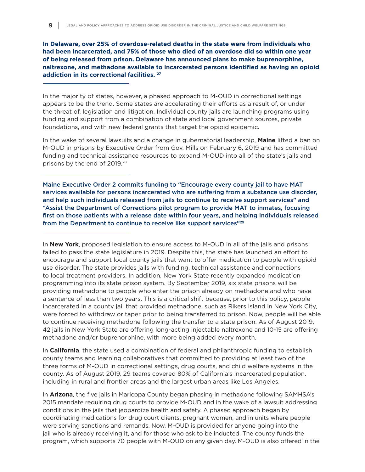**In Delaware, over 25% of overdose-related deaths in the state were from individuals who had been incarcerated, and 75% of those who died of an overdose did so within one year of being released from prison. Delaware has announced plans to make buprenorphine, naltrexone, and methadone available to incarcerated persons identified as having an opioid addiction in its correctional facilities. 27**

In the majority of states, however, a phased approach to M-OUD in correctional settings appears to be the trend. Some states are accelerating their efforts as a result of, or under the threat of, legislation and litigation. Individual county jails are launching programs using funding and support from a combination of state and local government sources, private foundations, and with new federal grants that target the opioid epidemic.

In the wake of several lawsuits and a change in gubernatorial leadership, **Maine** lifted a ban on M-OUD in prisons by Executive Order from Gov. Mills on February 6, 2019 and has committed funding and technical assistance resources to expand M-OUD into all of the state's jails and prisons by the end of 2019.<sup>28</sup>

Maine Executive Order 2 commits funding to "Encourage every county jail to have MAT services available for persons incarcerated who are suffering from a substance use disorder, and help such individuals released from jails to continue to receive support services" and "Assist the Department of Corrections pilot program to provide MAT to inmates, focusing first on those patients with a release date within four years, and helping individuals released from the Department to continue to receive like support services"29

In **New York**, proposed legislation to ensure access to M-OUD in all of the jails and prisons failed to pass the state legislature in 2019. Despite this, the state has launched an effort to encourage and support local county jails that want to offer medication to people with opioid use disorder. The state provides jails with funding, technical assistance and connections to local treatment providers. In addition, New York State recently expanded medication programming into its state prison system. By September 2019, six state prisons will be providing methadone to people who enter the prison already on methadone and who have a sentence of less than two years. This is a critical shift because, prior to this policy, people incarcerated in a county jail that provided methadone, such as Rikers Island in New York City, were forced to withdraw or taper prior to being transferred to prison. Now, people will be able to continue receiving methadone following the transfer to a state prison. As of August 2019, 42 jails in New York State are offering long-acting injectable naltrexone and 10-15 are offering methadone and/or buprenorphine, with more being added every month.

In **California**, the state used a combination of federal and philanthropic funding to establish county teams and learning collaboratives that committed to providing at least two of the three forms of M-OUD in correctional settings, drug courts, and child welfare systems in the county. As of August 2019, 29 teams covered 80% of California's incarcerated population, including in rural and frontier areas and the largest urban areas like Los Angeles.

In **Arizona**, the five jails in Maricopa County began phasing in methadone following SAMHSA's 2015 mandate requiring drug courts to provide M-OUD and in the wake of a lawsuit addressing conditions in the jails that jeopardize health and safety. A phased approach began by coordinating medications for drug court clients, pregnant women, and in units where people were serving sanctions and remands. Now, M-OUD is provided for anyone going into the jail who is already receiving it, and for those who ask to be inducted. The county funds the program, which supports 70 people with M-OUD on any given day. M-OUD is also offered in the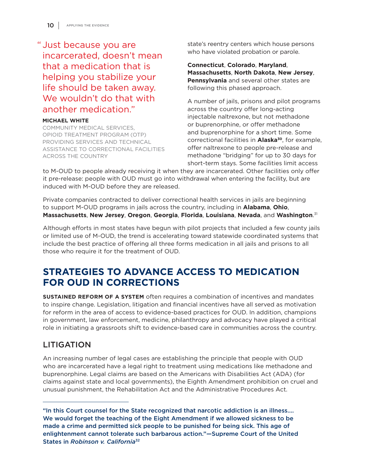# " Just because you are incarcerated, doesn't mean that a medication that is helping you stabilize your life should be taken away. We wouldn't do that with another medication."

#### **MICHAEL WHITE**

 COMMUNITY MEDICAL SERVICES, OPIOID TREATMENT PROGRAM (OTP) PROVIDING SERVICES AND TECHNICAL ASSISTANCE TO CORRECTIONAL FACILITIES ACROSS THE COUNTRY

state's reentry centers which house persons who have violated probation or parole.

**Connecticut**, **Colorado**, **Maryland**, **Massachusetts**, **North Dakota**, **New Jersey**, **Pennsylvania** and several other states are following this phased approach.

A number of jails, prisons and pilot programs across the country offer long-acting injectable naltrexone, but not methadone or buprenorphine, or offer methadone and buprenorphine for a short time. Some correctional facilities in **Alaska30**, for example, offer naltrexone to people pre-release and methadone "bridging" for up to 30 days for short-term stays. Some facilities limit access

to M-OUD to people already receiving it when they are incarcerated. Other facilities only offer it pre-release: people with OUD must go into withdrawal when entering the facility, but are induced with M-OUD before they are released.

Private companies contracted to deliver correctional health services in jails are beginning to support M-OUD programs in jails across the country, including in **Alabama**, **Ohio**, **Massachusetts**, **New Jersey**, **Oregon**, **Georgia**, **Florida**, **Louisiana**, **Nevada**, and **Washington**. 31

Although efforts in most states have begun with pilot projects that included a few county jails or limited use of M-OUD, the trend is accelerating toward statewide coordinated systems that include the best practice of offering all three forms medication in all jails and prisons to all those who require it for the treatment of OUD.

# **STRATEGIES TO ADVANCE ACCESS TO MEDICATION FOR OUD IN CORRECTIONS**

**SUSTAINED REFORM OF A SYSTEM** often requires a combination of incentives and mandates to inspire change. Legislation, litigation and financial incentives have all served as motivation for reform in the area of access to evidence-based practices for OUD. In addition, champions in government, law enforcement, medicine, philanthropy and advocacy have played a critical role in initiating a grassroots shift to evidence-based care in communities across the country.

# LITIGATION

An increasing number of legal cases are establishing the principle that people with OUD who are incarcerated have a legal right to treatment using medications like methadone and buprenorphine. Legal claims are based on the Americans with Disabilities Act (ADA) (for claims against state and local governments), the Eighth Amendment prohibition on cruel and unusual punishment, the Rehabilitation Act and the Administrative Procedures Act.

<sup>&</sup>quot;In this Court counsel for the State recognized that narcotic addiction is an illness…. We would forget the teaching of the Eight Amendment if we allowed sickness to be made a crime and permitted sick people to be punished for being sick. This age of enlightenment cannot tolerate such barbarous action."—Supreme Court of the United States in *Robinson v. California*<sup>32</sup>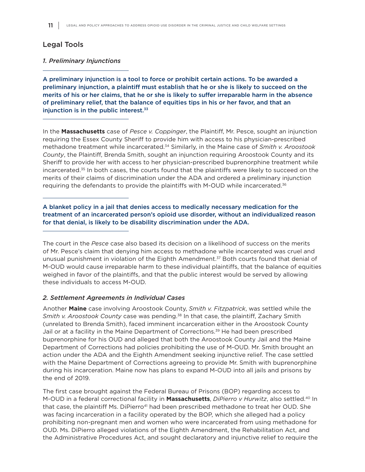#### Legal Tools

#### *1. Preliminary Injunctions*

A preliminary injunction is a tool to force or prohibit certain actions. To be awarded a preliminary injunction, a plaintiff must establish that he or she is likely to succeed on the merits of his or her claims, that he or she is likely to suffer irreparable harm in the absence of preliminary relief, that the balance of equities tips in his or her favor, and that an injunction is in the public interest. $33$ 

In the **Massachusetts** case of *Pesce v. Coppinger*, the Plaintiff, Mr. Pesce, sought an injunction requiring the Essex County Sheriff to provide him with access to his physician-prescribed methadone treatment while incarcerated.34 Similarly, in the Maine case of *Smith v. Aroostook County*, the Plaintiff, Brenda Smith, sought an injunction requiring Aroostook County and its Sheriff to provide her with access to her physician-prescribed buprenorphine treatment while incarcerated.<sup>35</sup> In both cases, the courts found that the plaintiffs were likely to succeed on the merits of their claims of discrimination under the ADA and ordered a preliminary injunction requiring the defendants to provide the plaintiffs with M-OUD while incarcerated.<sup>36</sup>

A blanket policy in a jail that denies access to medically necessary medication for the treatment of an incarcerated person's opioid use disorder, without an individualized reason for that denial, is likely to be disability discrimination under the ADA.

The court in the *Pesce* case also based its decision on a likelihood of success on the merits of Mr. Pesce's claim that denying him access to methadone while incarcerated was cruel and unusual punishment in violation of the Eighth Amendment.<sup>37</sup> Both courts found that denial of M-OUD would cause irreparable harm to these individual plaintiffs, that the balance of equities weighed in favor of the plaintiffs, and that the public interest would be served by allowing these individuals to access M-OUD.

#### *2. Settlement Agreements in Individual Cases*

Another **Maine** case involving Aroostook County, *Smith v. Fitzpatrick*, was settled while the *Smith v. Aroostook County* case was pending.38 In that case, the plaintiff, Zachary Smith (unrelated to Brenda Smith), faced imminent incarceration either in the Aroostook County Jail or at a facility in the Maine Department of Corrections.<sup>39</sup> He had been prescribed buprenorphine for his OUD and alleged that both the Aroostook County Jail and the Maine Department of Corrections had policies prohibiting the use of M-OUD. Mr. Smith brought an action under the ADA and the Eighth Amendment seeking injunctive relief. The case settled with the Maine Department of Corrections agreeing to provide Mr. Smith with buprenorphine during his incarceration. Maine now has plans to expand M-OUD into all jails and prisons by the end of 2019.

The first case brought against the Federal Bureau of Prisons (BOP) regarding access to M-OUD in a federal correctional facility in **Massachusetts**, *DiPierro v Hurwitz*, also settled.40 In that case, the plaintiff Ms. DiPierro<sup>41</sup> had been prescribed methadone to treat her OUD. She was facing incarceration in a facility operated by the BOP, which she alleged had a policy prohibiting non-pregnant men and women who were incarcerated from using methadone for OUD. Ms. DiPierro alleged violations of the Eighth Amendment, the Rehabilitation Act, and the Administrative Procedures Act, and sought declaratory and injunctive relief to require the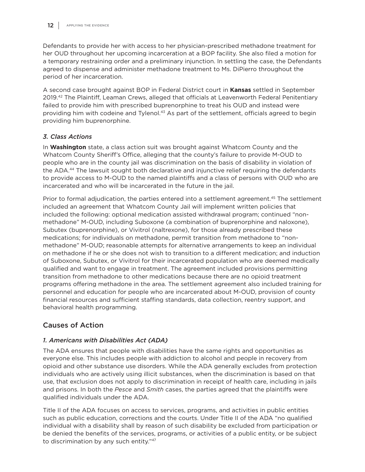Defendants to provide her with access to her physician-prescribed methadone treatment for her OUD throughout her upcoming incarceration at a BOP facility. She also filed a motion for a temporary restraining order and a preliminary injunction. In settling the case, the Defendants agreed to dispense and administer methadone treatment to Ms. DiPierro throughout the period of her incarceration.

A second case brought against BOP in Federal District court in **Kansas** settled in September 2019.42 The Plaintiff, Leaman Crews, alleged that officials at Leavenworth Federal Penitentiary failed to provide him with prescribed buprenorphine to treat his OUD and instead were providing him with codeine and Tylenol.<sup>43</sup> As part of the settlement, officials agreed to begin providing him buprenorphine.

#### *3. Class Actions*

In **Washington** state, a class action suit was brought against Whatcom County and the Whatcom County Sheriff's Office, alleging that the county's failure to provide M-OUD to people who are in the county jail was discrimination on the basis of disability in violation of the ADA.<sup>44</sup> The lawsuit sought both declarative and injunctive relief requiring the defendants to provide access to M-OUD to the named plaintiffs and a class of persons with OUD who are incarcerated and who will be incarcerated in the future in the jail.

Prior to formal adjudication, the parties entered into a settlement agreement.<sup>45</sup> The settlement included an agreement that Whatcom County Jail will implement written policies that included the following: optional medication assisted withdrawal program; continued "nonmethadone" M-OUD, including Suboxone (a combination of buprenorphine and naloxone), Subutex (buprenorphine), or Vivitrol (naltrexone), for those already prescribed these medications; for individuals on methadone, permit transition from methadone to "nonmethadone" M-OUD; reasonable attempts for alternative arrangements to keep an individual on methadone if he or she does not wish to transition to a different medication; and induction of Suboxone, Subutex, or Vivitrol for their incarcerated population who are deemed medically qualified and want to engage in treatment. The agreement included provisions permitting transition from methadone to other medications because there are no opioid treatment programs offering methadone in the area. The settlement agreement also included training for personnel and education for people who are incarcerated about M-OUD, provision of county financial resources and sufficient staffing standards, data collection, reentry support, and behavioral health programming.

#### Causes of Action

#### *1. Americans with Disabilities Act (ADA)*

The ADA ensures that people with disabilities have the same rights and opportunities as everyone else. This includes people with addiction to alcohol and people in recovery from opioid and other substance use disorders. While the ADA generally excludes from protection individuals who are actively using illicit substances, when the discrimination is based on that use, that exclusion does not apply to discrimination in receipt of health care, including in jails and prisons. In both the *Pesce* and *Smith* cases, the parties agreed that the plaintiffs were qualified individuals under the ADA.

Title II of the ADA focuses on access to services, programs, and activities in public entities such as public education, corrections and the courts. Under Title II of the ADA "no qualified individual with a disability shall by reason of such disability be excluded from participation or be denied the benefits of the services, programs, or activities of a public entity, or be subject to discrimination by any such entity."47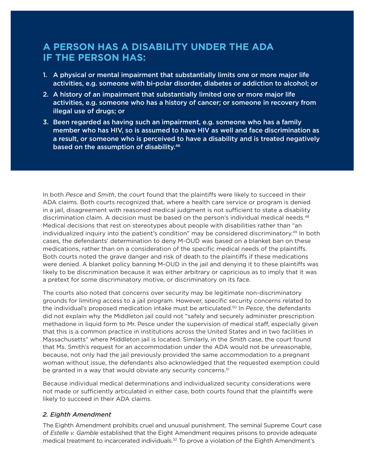# **A PERSON HAS A DISABILITY UNDER THE ADA IF THE PERSON HAS:**

- 1. A physical or mental impairment that substantially limits one or more major life activities, e.g. someone with bi-polar disorder, diabetes or addiction to alcohol; or
- 2. A history of an impairment that substantially limited one or more major life activities, e.g. someone who has a history of cancer; or someone in recovery from illegal use of drugs; or
- 3. Been regarded as having such an impairment, e.g. someone who has a family member who has HIV, so is assumed to have HIV as well and face discrimination as a result, or someone who is perceived to have a disability and is treated negatively based on the assumption of disability.46

In both *Pesce* and *Smith*, the court found that the plaintiffs were likely to succeed in their ADA claims. Both courts recognized that, where a health care service or program is denied in a jail, disagreement with reasoned medical judgment is not sufficient to state a disability discrimination claim. A decision must be based on the person's individual medical needs.<sup>48</sup> Medical decisions that rest on stereotypes about people with disabilities rather than "an individualized inquiry into the patient's condition" may be considered discriminatory.49 In both cases, the defendants' determination to deny M-OUD was based on a blanket ban on these medications, rather than on a consideration of the specific medical needs of the plaintiffs. Both courts noted the grave danger and risk of death to the plaintiffs if these medications were denied. A blanket policy banning M-OUD in the jail and denying it to these plaintiffs was likely to be discrimination because it was either arbitrary or capricious as to imply that it was a pretext for some discriminatory motive, or discriminatory on its face.

The courts also noted that concerns over security may be legitimate non-discriminatory grounds for limiting access to a jail program. However, specific security concerns related to the individual's proposed medication intake must be articulated.50 In *Pesce*, the defendants did not explain why the Middleton jail could not "safely and securely administer prescription methadone in liquid form to Mr. Pesce under the supervision of medical staff, especially given that this is a common practice in institutions across the United States and in two facilities in Massachusetts" where Middleton jail is located. Similarly, in the *Smith* case, the court found that Ms. Smith's request for an accommodation under the ADA would not be unreasonable, because, not only had the jail previously provided the same accommodation to a pregnant woman without issue, the defendants also acknowledged that the requested exemption could be granted in a way that would obviate any security concerns.<sup>51</sup>

Because individual medical determinations and individualized security considerations were not made or sufficiently articulated in either case, both courts found that the plaintiffs were likely to succeed in their ADA claims.

#### *2. Eighth Amendment*

The Eighth Amendment prohibits cruel and unusual punishment. The seminal Supreme Court case of *Estelle v. Gamble* established that the Eight Amendment requires prisons to provide adequate medical treatment to incarcerated individuals.<sup>52</sup> To prove a violation of the Eighth Amendment's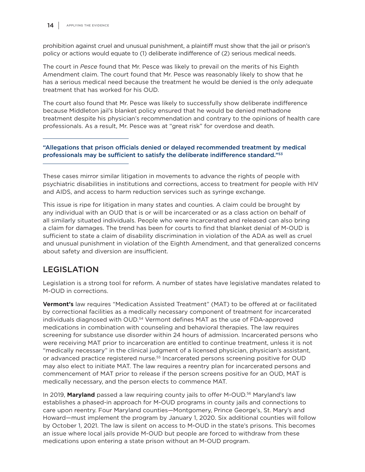prohibition against cruel and unusual punishment, a plaintiff must show that the jail or prison's policy or actions would equate to (1) deliberate indifference of (2) serious medical needs.

The court in *Pesce* found that Mr. Pesce was likely to prevail on the merits of his Eighth Amendment claim. The court found that Mr. Pesce was reasonably likely to show that he has a serious medical need because the treatment he would be denied is the only adequate treatment that has worked for his OUD.

The court also found that Mr. Pesce was likely to successfully show deliberate indifference because Middleton jail's blanket policy ensured that he would be denied methadone treatment despite his physician's recommendation and contrary to the opinions of health care professionals. As a result, Mr. Pesce was at "great risk" for overdose and death.

"Allegations that prison officials denied or delayed recommended treatment by medical professionals may be sufficient to satisfy the deliberate indifference standard."53

These cases mirror similar litigation in movements to advance the rights of people with psychiatric disabilities in institutions and corrections, access to treatment for people with HIV and AIDS, and access to harm reduction services such as syringe exchange.

This issue is ripe for litigation in many states and counties. A claim could be brought by any individual with an OUD that is or will be incarcerated or as a class action on behalf of all similarly situated individuals. People who were incarcerated and released can also bring a claim for damages. The trend has been for courts to find that blanket denial of M-OUD is sufficient to state a claim of disability discrimination in violation of the ADA as well as cruel and unusual punishment in violation of the Eighth Amendment, and that generalized concerns about safety and diversion are insufficient.

# LEGISLATION

Legislation is a strong tool for reform. A number of states have legislative mandates related to M-OUD in corrections.

**Vermont's** law requires "Medication Assisted Treatment" (MAT) to be offered at or facilitated by correctional facilities as a medically necessary component of treatment for incarcerated individuals diagnosed with OUD.<sup>54</sup> Vermont defines MAT as the use of FDA-approved medications in combination with counseling and behavioral therapies. The law requires screening for substance use disorder within 24 hours of admission. Incarcerated persons who were receiving MAT prior to incarceration are entitled to continue treatment, unless it is not "medically necessary" in the clinical judgment of a licensed physician, physician's assistant, or advanced practice registered nurse.55 Incarcerated persons screening positive for OUD may also elect to initiate MAT. The law requires a reentry plan for incarcerated persons and commencement of MAT prior to release if the person screens positive for an OUD, MAT is medically necessary, and the person elects to commence MAT.

In 2019, **Maryland** passed a law requiring county jails to offer M-OUD.56 Maryland's law establishes a phased-in approach for M-OUD programs in county jails and connections to care upon reentry. Four Maryland counties—Montgomery, Prince George's, St. Mary's and Howard—must implement the program by January 1, 2020. Six additional counties will follow by October 1, 2021. The law is silent on access to M-OUD in the state's prisons. This becomes an issue where local jails provide M-OUD but people are forced to withdraw from these medications upon entering a state prison without an M-OUD program.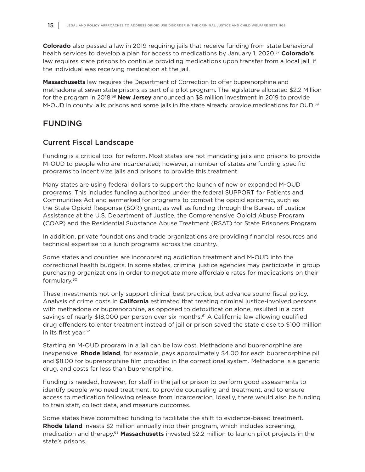**Colorado** also passed a law in 2019 requiring jails that receive funding from state behavioral health services to develop a plan for access to medications by January 1, 2020.57 **Colorado's** law requires state prisons to continue providing medications upon transfer from a local jail, if the individual was receiving medication at the jail.

**Massachusetts** law requires the Department of Correction to offer buprenorphine and methadone at seven state prisons as part of a pilot program. The legislature allocated \$2.2 Million for the program in 2018.58 **New Jersey** announced an \$8 million investment in 2019 to provide M-OUD in county jails; prisons and some jails in the state already provide medications for OUD.<sup>59</sup>

### FUNDING

#### Current Fiscal Landscape

Funding is a critical tool for reform. Most states are not mandating jails and prisons to provide M-OUD to people who are incarcerated; however, a number of states are funding specific programs to incentivize jails and prisons to provide this treatment.

Many states are using federal dollars to support the launch of new or expanded M-OUD programs. This includes funding authorized under the federal SUPPORT for Patients and Communities Act and earmarked for programs to combat the opioid epidemic, such as the State Opioid Response (SOR) grant, as well as funding through the Bureau of Justice Assistance at the U.S. Department of Justice, the Comprehensive Opioid Abuse Program (COAP) and the Residential Substance Abuse Treatment (RSAT) for State Prisoners Program.

In addition, private foundations and trade organizations are providing financial resources and technical expertise to a lunch programs across the country.

Some states and counties are incorporating addiction treatment and M-OUD into the correctional health budgets. In some states, criminal justice agencies may participate in group purchasing organizations in order to negotiate more affordable rates for medications on their formulary.60

These investments not only support clinical best practice, but advance sound fiscal policy. Analysis of crime costs in **California** estimated that treating criminal justice-involved persons with methadone or buprenorphine, as opposed to detoxification alone, resulted in a cost savings of nearly \$18,000 per person over six months.<sup>61</sup> A California law allowing qualified drug offenders to enter treatment instead of jail or prison saved the state close to \$100 million in its first year.<sup>62</sup>

Starting an M-OUD program in a jail can be low cost. Methadone and buprenorphine are inexpensive. **Rhode Island**, for example, pays approximately \$4.00 for each buprenorphine pill and \$8.00 for buprenorphine film provided in the correctional system. Methadone is a generic drug, and costs far less than buprenorphine.

Funding is needed, however, for staff in the jail or prison to perform good assessments to identify people who need treatment, to provide counseling and treatment, and to ensure access to medication following release from incarceration. Ideally, there would also be funding to train staff, collect data, and measure outcomes.

Some states have committed funding to facilitate the shift to evidence-based treatment. **Rhode Island** invests \$2 million annually into their program, which includes screening, medication and therapy.63 **Massachusetts** invested \$2.2 million to launch pilot projects in the state's prisons.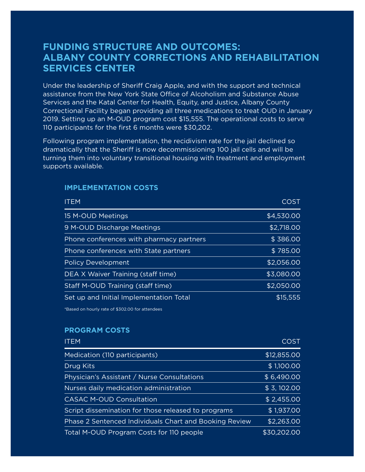# **FUNDING STRUCTURE AND OUTCOMES: ALBANY COUNTY CORRECTIONS AND REHABILITATION SERVICES CENTER**

Under the leadership of Sheriff Craig Apple, and with the support and technical assistance from the New York State Office of Alcoholism and Substance Abuse Services and the Katal Center for Health, Equity, and Justice, Albany County Correctional Facility began providing all three medications to treat OUD in January 2019. Setting up an M-OUD program cost \$15,555. The operational costs to serve 110 participants for the first 6 months were \$30,202.

Following program implementation, the recidivism rate for the jail declined so dramatically that the Sheriff is now decommissioning 100 jail cells and will be turning them into voluntary transitional housing with treatment and employment supports available.

| <b>ITEM</b>                              | <b>COST</b> |
|------------------------------------------|-------------|
| 15 M-OUD Meetings                        | \$4,530.00  |
| 9 M-OUD Discharge Meetings               | \$2,718.00  |
| Phone conferences with pharmacy partners | \$386.00    |
| Phone conferences with State partners    | \$785.00    |
| <b>Policy Development</b>                | \$2,056.00  |
| DEA X Waiver Training (staff time)       | \$3,080.00  |
| Staff M-OUD Training (staff time)        | \$2,050.00  |
| Set up and Initial Implementation Total  | \$15,555    |

#### **IMPLEMENTATION COSTS**

\*Based on hourly rate of \$302.00 for attendees

#### **PROGRAM COSTS**

| <b>ITEM</b>                                            | <b>COST</b> |
|--------------------------------------------------------|-------------|
| Medication (110 participants)                          | \$12,855.00 |
| Drug Kits                                              | \$1,100.00  |
| Physician's Assistant / Nurse Consultations            | \$6,490.00  |
| Nurses daily medication administration                 | \$3,102.00  |
| <b>CASAC M-OUD Consultation</b>                        | \$2,455.00  |
| Script dissemination for those released to programs    | \$1,937.00  |
| Phase 2 Sentenced Individuals Chart and Booking Review | \$2,263.00  |
| Total M-OUD Program Costs for 110 people               | \$30,202.00 |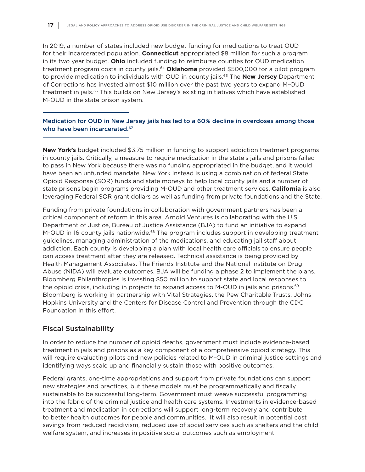In 2019, a number of states included new budget funding for medications to treat OUD for their incarcerated population. **Connecticut** appropriated \$8 million for such a program in its two year budget. **Ohio** included funding to reimburse counties for OUD medication treatment program costs in county jails.64 **Oklahoma** provided \$500,000 for a pilot program to provide medication to individuals with OUD in county jails.65 The **New Jersey** Department of Corrections has invested almost \$10 million over the past two years to expand M-OUD treatment in jails.<sup>66</sup> This builds on New Jersey's existing initiatives which have established M-OUD in the state prison system.

Medication for OUD in New Jersey jails has led to a 60% decline in overdoses among those who have been incarcerated.<sup>67</sup>

**New York's** budget included \$3.75 million in funding to support addiction treatment programs in county jails. Critically, a measure to require medication in the state's jails and prisons failed to pass in New York because there was no funding appropriated in the budget, and it would have been an unfunded mandate. New York instead is using a combination of federal State Opioid Response (SOR) funds and state moneys to help local county jails and a number of state prisons begin programs providing M-OUD and other treatment services. **California** is also leveraging Federal SOR grant dollars as well as funding from private foundations and the State.

Funding from private foundations in collaboration with government partners has been a critical component of reform in this area. Arnold Ventures is collaborating with the U.S. Department of Justice, Bureau of Justice Assistance (BJA) to fund an initiative to expand M-OUD in 16 county jails nationwide.<sup>68</sup> The program includes support in developing treatment guidelines, managing administration of the medications, and educating jail staff about addiction. Each county is developing a plan with local health care officials to ensure people can access treatment after they are released. Technical assistance is being provided by Health Management Associates. The Friends Institute and the National Institute on Drug Abuse (NIDA) will evaluate outcomes. BJA will be funding a phase 2 to implement the plans. Bloomberg Philanthropies is investing \$50 million to support state and local responses to the opioid crisis, including in projects to expand access to M-OUD in jails and prisons.<sup>69</sup> Bloomberg is working in partnership with Vital Strategies, the Pew Charitable Trusts, Johns Hopkins University and the Centers for Disease Control and Prevention through the CDC Foundation in this effort.

#### Fiscal Sustainability

In order to reduce the number of opioid deaths, government must include evidence-based treatment in jails and prisons as a key component of a comprehensive opioid strategy. This will require evaluating pilots and new policies related to M-OUD in criminal justice settings and identifying ways scale up and financially sustain those with positive outcomes.

Federal grants, one-time appropriations and support from private foundations can support new strategies and practices, but these models must be programmatically and fiscally sustainable to be successful long-term. Government must weave successful programming into the fabric of the criminal justice and health care systems. Investments in evidence-based treatment and medication in corrections will support long-term recovery and contribute to better health outcomes for people and communities. It will also result in potential cost savings from reduced recidivism, reduced use of social services such as shelters and the child welfare system, and increases in positive social outcomes such as employment.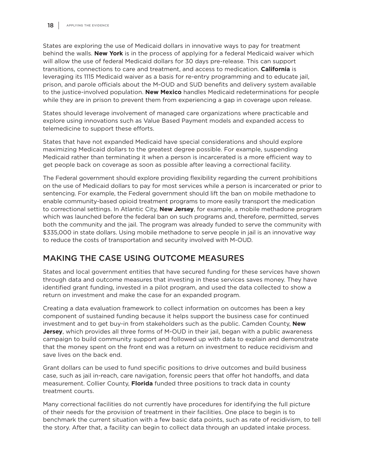States are exploring the use of Medicaid dollars in innovative ways to pay for treatment behind the walls. **New York** is in the process of applying for a federal Medicaid waiver which will allow the use of federal Medicaid dollars for 30 days pre-release. This can support transitions, connections to care and treatment, and access to medication. **California** is leveraging its 1115 Medicaid waiver as a basis for re-entry programming and to educate jail, prison, and parole officials about the M-OUD and SUD benefits and delivery system available to the justice-involved population. **New Mexico** handles Medicaid redeterminations for people while they are in prison to prevent them from experiencing a gap in coverage upon release.

States should leverage involvement of managed care organizations where practicable and explore using innovations such as Value Based Payment models and expanded access to telemedicine to support these efforts.

States that have not expanded Medicaid have special considerations and should explore maximizing Medicaid dollars to the greatest degree possible. For example, suspending Medicaid rather than terminating it when a person is incarcerated is a more efficient way to get people back on coverage as soon as possible after leaving a correctional facility.

The Federal government should explore providing flexibility regarding the current prohibitions on the use of Medicaid dollars to pay for most services while a person is incarcerated or prior to sentencing. For example, the Federal government should lift the ban on mobile methadone to enable community-based opioid treatment programs to more easily transport the medication to correctional settings. In Atlantic City, **New Jersey**, for example, a mobile methadone program which was launched before the federal ban on such programs and, therefore, permitted, serves both the community and the jail. The program was already funded to serve the community with \$335,000 in state dollars. Using mobile methadone to serve people in jail is an innovative way to reduce the costs of transportation and security involved with M-OUD.

# MAKING THE CASE USING OUTCOME MEASURES

States and local government entities that have secured funding for these services have shown through data and outcome measures that investing in these services saves money. They have identified grant funding, invested in a pilot program, and used the data collected to show a return on investment and make the case for an expanded program.

Creating a data evaluation framework to collect information on outcomes has been a key component of sustained funding because it helps support the business case for continued investment and to get buy-in from stakeholders such as the public. Camden County, **New Jersey**, which provides all three forms of M-OUD in their jail, began with a public awareness campaign to build community support and followed up with data to explain and demonstrate that the money spent on the front end was a return on investment to reduce recidivism and save lives on the back end.

Grant dollars can be used to fund specific positions to drive outcomes and build business case, such as jail in-reach, care navigation, forensic peers that offer hot handoffs, and data measurement. Collier County, **Florida** funded three positions to track data in county treatment courts.

Many correctional facilities do not currently have procedures for identifying the full picture of their needs for the provision of treatment in their facilities. One place to begin is to benchmark the current situation with a few basic data points, such as rate of recidivism, to tell the story. After that, a facility can begin to collect data through an updated intake process.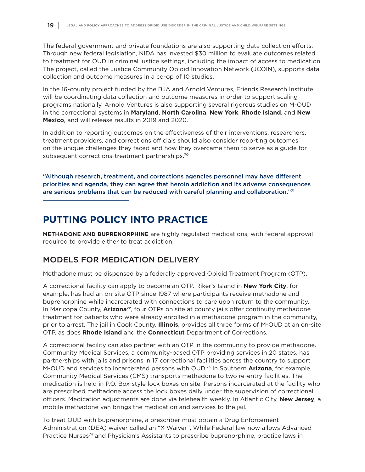The federal government and private foundations are also supporting data collection efforts. Through new federal legislation, NIDA has invested \$30 million to evaluate outcomes related to treatment for OUD in criminal justice settings, including the impact of access to medication. The project, called the Justice Community Opioid Innovation Network (JCOIN), supports data collection and outcome measures in a co-op of 10 studies.

In the 16-county project funded by the BJA and Arnold Ventures, Friends Research Institute will be coordinating data collection and outcome measures in order to support scaling programs nationally. Arnold Ventures is also supporting several rigorous studies on M-OUD in the correctional systems in **Maryland**, **North Carolina**, **New York**, **Rhode Island**, and **New Mexico**, and will release results in 2019 and 2020.

In addition to reporting outcomes on the effectiveness of their interventions, researchers, treatment providers, and corrections officials should also consider reporting outcomes on the unique challenges they faced and how they overcame them to serve as a guide for subsequent corrections-treatment partnerships.70

"Although research, treatment, and corrections agencies personnel may have different priorities and agenda, they can agree that heroin addiction and its adverse consequences are serious problems that can be reduced with careful planning and collaboration."71

# **PUTTING POLICY INTO PRACTICE**

**METHADONE AND BUPRENORPHINE** are highly regulated medications, with federal approval required to provide either to treat addiction.

# MODELS FOR MEDICATION DELIVERY

Methadone must be dispensed by a federally approved Opioid Treatment Program (OTP).

A correctional facility can apply to become an OTP. Riker's Island in **New York City**, for example, has had an on-site OTP since 1987 where participants receive methadone and buprenorphine while incarcerated with connections to care upon return to the community. In Maricopa County, **Arizona72**, four OTPs on site at county jails offer continuity methadone treatment for patients who were already enrolled in a methadone program in the community, prior to arrest. The jail in Cook County, **Illinois**, provides all three forms of M-OUD at an on-site OTP, as does **Rhode Island** and the **Connecticut** Department of Corrections.

A correctional facility can also partner with an OTP in the community to provide methadone. Community Medical Services, a community-based OTP providing services in 20 states, has partnerships with jails and prisons in 17 correctional facilities across the country to support M-OUD and services to incarcerated persons with OUD.73 In Southern **Arizona**, for example, Community Medical Services (CMS) transports methadone to two re-entry facilities. The medication is held in P.O. Box-style lock boxes on site. Persons incarcerated at the facility who are prescribed methadone access the lock boxes daily under the supervision of correctional officers. Medication adjustments are done via telehealth weekly. In Atlantic City, **New Jersey**, a mobile methadone van brings the medication and services to the jail.

To treat OUD with buprenorphine, a prescriber must obtain a Drug Enforcement Administration (DEA) waiver called an "X Waiver". While Federal law now allows Advanced Practice Nurses<sup>74</sup> and Physician's Assistants to prescribe buprenorphine, practice laws in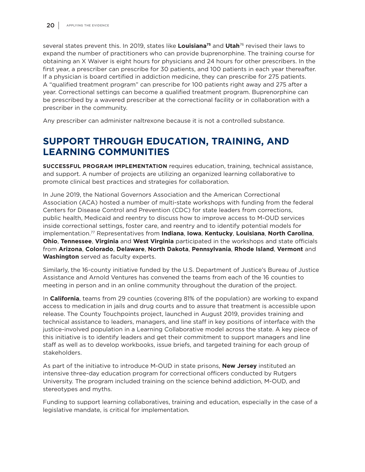several states prevent this. In 2019, states like **Louisiana75** and **Utah**76 revised their laws to expand the number of practitioners who can provide buprenorphine. The training course for obtaining an X Waiver is eight hours for physicians and 24 hours for other prescribers. In the first year, a prescriber can prescribe for 30 patients, and 100 patients in each year thereafter. If a physician is board certified in addiction medicine, they can prescribe for 275 patients. A "qualified treatment program" can prescribe for 100 patients right away and 275 after a year. Correctional settings can become a qualified treatment program. Buprenorphine can be prescribed by a wavered prescriber at the correctional facility or in collaboration with a prescriber in the community.

Any prescriber can administer naltrexone because it is not a controlled substance.

# **SUPPORT THROUGH EDUCATION, TRAINING, AND LEARNING COMMUNITIES**

**SUCCESSFUL PROGRAM IMPLEMENTATION** requires education, training, technical assistance, and support. A number of projects are utilizing an organized learning collaborative to promote clinical best practices and strategies for collaboration.

In June 2019, the National Governors Association and the American Correctional Association (ACA) hosted a number of multi-state workshops with funding from the federal Centers for Disease Control and Prevention (CDC) for state leaders from corrections, public health, Medicaid and reentry to discuss how to improve access to M-OUD services inside correctional settings, foster care, and reentry and to identify potential models for implementation.77 Representatives from **Indiana**, **Iowa**, **Kentucky**, **Louisiana**, **North Carolina**, **Ohio**, **Tennessee**, **Virginia** and **West Virginia** participated in the workshops and state officials from **Arizona**, **Colorado**, **Delaware**, **North Dakota**, **Pennsylvania**, **Rhode Island**, **Vermont** and **Washington** served as faculty experts.

Similarly, the 16-county initiative funded by the U.S. Department of Justice's Bureau of Justice Assistance and Arnold Ventures has convened the teams from each of the 16 counties to meeting in person and in an online community throughout the duration of the project.

In **California**, teams from 29 counties (covering 81% of the population) are working to expand access to medication in jails and drug courts and to assure that treatment is accessible upon release. The County Touchpoints project, launched in August 2019, provides training and technical assistance to leaders, managers, and line staff in key positions of interface with the justice-involved population in a Learning Collaborative model across the state. A key piece of this initiative is to identify leaders and get their commitment to support managers and line staff as well as to develop workbooks, issue briefs, and targeted training for each group of stakeholders.

As part of the initiative to introduce M-OUD in state prisons, **New Jersey** instituted an intensive three-day education program for correctional officers conducted by Rutgers University. The program included training on the science behind addiction, M-OUD, and stereotypes and myths.

Funding to support learning collaboratives, training and education, especially in the case of a legislative mandate, is critical for implementation.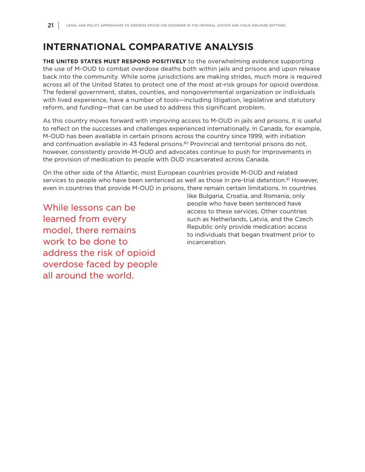# **INTERNATIONAL COMPARATIVE ANALYSIS**

**THE UNITED STATES MUST RESPOND POSITIVELY** to the overwhelming evidence supporting the use of M-OUD to combat overdose deaths both within jails and prisons and upon release back into the community. While some jurisdictions are making strides, much more is required across all of the United States to protect one of the most at-risk groups for opioid overdose. The federal government, states, counties, and nongovernmental organization or individuals with lived experience, have a number of tools—including litigation, legislative and statutory reform, and funding—that can be used to address this significant problem.

As this country moves forward with improving access to M-OUD in jails and prisons, it is useful to reflect on the successes and challenges experienced internationally. In Canada, for example, M-OUD has been available in certain prisons across the country since 1999, with initiation and continuation available in 43 federal prisons.<sup>80</sup> Provincial and territorial prisons do not, however, consistently provide M-OUD and advocates continue to push for improvements in the provision of medication to people with OUD incarcerated across Canada.

On the other side of the Atlantic, most European countries provide M-OUD and related services to people who have been sentenced as well as those in pre-trial detention.<sup>81</sup> However, even in countries that provide M-OUD in prisons, there remain certain limitations. In countries

While lessons can be learned from every model, there remains work to be done to address the risk of opioid overdose faced by people all around the world.

like Bulgaria, Croatia, and Romania, only people who have been sentenced have access to these services. Other countries such as Netherlands, Latvia, and the Czech Republic only provide medication access to individuals that began treatment prior to incarceration.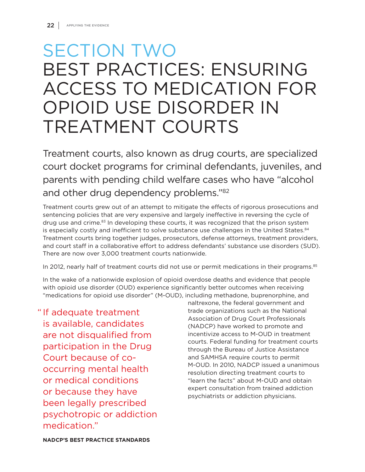# SECTION TWO BEST PRACTICES: ENSURING ACCESS TO MEDICATION FOR OPIOID USE DISORDER IN TREATMENT COURTS

Treatment courts, also known as drug courts, are specialized court docket programs for criminal defendants, juveniles, and parents with pending child welfare cases who have "alcohol and other drug dependency problems."82

Treatment courts grew out of an attempt to mitigate the effects of rigorous prosecutions and sentencing policies that are very expensive and largely ineffective in reversing the cycle of drug use and crime.<sup>83</sup> In developing these courts, it was recognized that the prison system is especially costly and inefficient to solve substance use challenges in the United States.<sup>84</sup> Treatment courts bring together judges, prosecutors, defense attorneys, treatment providers, and court staff in a collaborative effort to address defendants' substance use disorders (SUD). There are now over 3,000 treatment courts nationwide.

In 2012, nearly half of treatment courts did not use or permit medications in their programs.<sup>85</sup>

In the wake of a nationwide explosion of opioid overdose deaths and evidence that people with opioid use disorder (OUD) experience significantly better outcomes when receiving "medications for opioid use disorder" (M-OUD), including methadone, buprenorphine, and

" If adequate treatment is available, candidates are not disqualified from participation in the Drug Court because of cooccurring mental health or medical conditions or because they have been legally prescribed psychotropic or addiction medication."

naltrexone, the federal government and trade organizations such as the National Association of Drug Court Professionals (NADCP) have worked to promote and incentivize access to M-OUD in treatment courts. Federal funding for treatment courts through the Bureau of Justice Assistance and SAMHSA require courts to permit M-OUD. In 2010, NADCP issued a unanimous resolution directing treatment courts to "learn the facts" about M-OUD and obtain expert consultation from trained addiction psychiatrists or addiction physicians.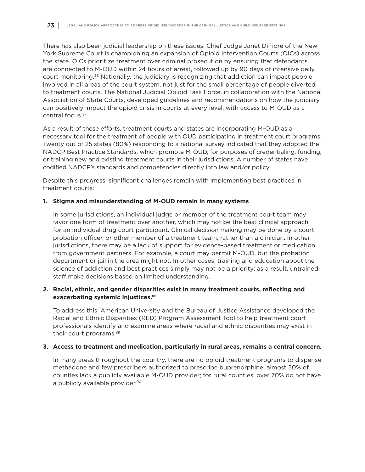There has also been judicial leadership on these issues. Chief Judge Janet DiFiore of the New York Supreme Court is championing an expansion of Opioid Intervention Courts (OICs) across the state. OICs prioritize treatment over criminal prosecution by ensuring that defendants are connected to M-OUD within 24 hours of arrest, followed up by 90 days of intensive daily court monitoring.86 Nationally, the judiciary is recognizing that addiction can impact people involved in all areas of the court system, not just for the small percentage of people diverted to treatment courts. The National Judicial Opioid Task Force, in collaboration with the National Association of State Courts, developed guidelines and recommendations on how the judiciary can positively impact the opioid crisis in courts at every level, with access to M-OUD as a central focus.87

As a result of these efforts, treatment courts and states are incorporating M-OUD as a necessary tool for the treatment of people with OUD participating in treatment court programs. Twenty out of 25 states (80%) responding to a national survey indicated that they adopted the NADCP Best Practice Standards, which promote M-OUD, for purposes of credentialing, funding, or training new and existing treatment courts in their jurisdictions. A number of states have codified NADCP's standards and competencies directly into law and/or policy.

Despite this progress, significant challenges remain with implementing best practices in treatment courts:

#### **1. Stigma and misunderstanding of M-OUD remain in many systems**

 In some jurisdictions, an individual judge or member of the treatment court team may favor one form of treatment over another, which may not be the best clinical approach for an individual drug court participant. Clinical decision making may be done by a court, probation officer, or other member of a treatment team, rather than a clinician. In other jurisdictions, there may be a lack of support for evidence-based treatment or medication from government partners. For example, a court may permit M-OUD, but the probation department or jail in the area might not. In other cases, training and education about the science of addiction and best practices simply may not be a priority; as a result, untrained staff make decisions based on limited understanding.

#### **2. Racial, ethnic, and gender disparities exist in many treatment courts, reflecting and exacerbating systemic injustices.88**

 To address this, American University and the Bureau of Justice Assistance developed the Racial and Ethnic Disparities (RED) Program Assessment Tool to help treatment court professionals identify and examine areas where racial and ethnic disparities may exist in their court programs.89

#### **3. Access to treatment and medication, particularly in rural areas, remains a central concern.**

In many areas throughout the country, there are no opioid treatment programs to dispense methadone and few prescribers authorized to prescribe buprenorphine: almost 50% of counties lack a publicly available M-OUD provider; for rural counties, over 70% do not have a publicly available provider.<sup>90</sup>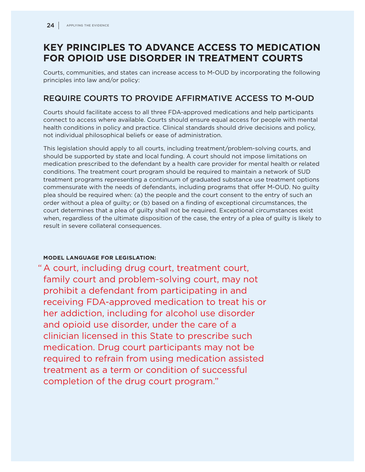# **KEY PRINCIPLES TO ADVANCE ACCESS TO MEDICATION FOR OPIOID USE DISORDER IN TREATMENT COURTS**

Courts, communities, and states can increase access to M-OUD by incorporating the following principles into law and/or policy:

### REQUIRE COURTS TO PROVIDE AFFIRMATIVE ACCESS TO M-OUD

Courts should facilitate access to all three FDA-approved medications and help participants connect to access where available. Courts should ensure equal access for people with mental health conditions in policy and practice. Clinical standards should drive decisions and policy, not individual philosophical beliefs or ease of administration.

This legislation should apply to all courts, including treatment/problem-solving courts, and should be supported by state and local funding. A court should not impose limitations on medication prescribed to the defendant by a health care provider for mental health or related conditions. The treatment court program should be required to maintain a network of SUD treatment programs representing a continuum of graduated substance use treatment options commensurate with the needs of defendants, including programs that offer M-OUD. No guilty plea should be required when: (a) the people and the court consent to the entry of such an order without a plea of guilty; or (b) based on a finding of exceptional circumstances, the court determines that a plea of guilty shall not be required. Exceptional circumstances exist when, regardless of the ultimate disposition of the case, the entry of a plea of guilty is likely to result in severe collateral consequences.

#### **MODEL LANGUAGE FOR LEGISLATION:**

" A court, including drug court, treatment court, family court and problem-solving court, may not prohibit a defendant from participating in and receiving FDA-approved medication to treat his or her addiction, including for alcohol use disorder and opioid use disorder, under the care of a clinician licensed in this State to prescribe such medication. Drug court participants may not be required to refrain from using medication assisted treatment as a term or condition of successful completion of the drug court program."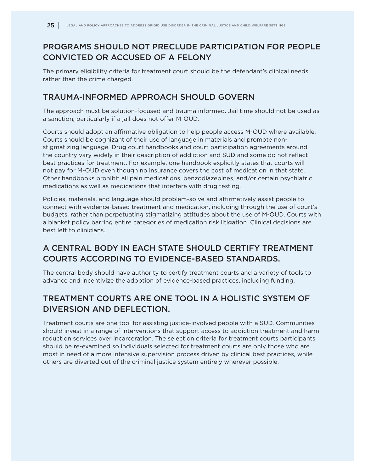# PROGRAMS SHOULD NOT PRECLUDE PARTICIPATION FOR PEOPLE CONVICTED OR ACCUSED OF A FELONY

The primary eligibility criteria for treatment court should be the defendant's clinical needs rather than the crime charged.

#### TRAUMA-INFORMED APPROACH SHOULD GOVERN

The approach must be solution-focused and trauma informed. Jail time should not be used as a sanction, particularly if a jail does not offer M-OUD.

Courts should adopt an affirmative obligation to help people access M-OUD where available. Courts should be cognizant of their use of language in materials and promote nonstigmatizing language. Drug court handbooks and court participation agreements around the country vary widely in their description of addiction and SUD and some do not reflect best practices for treatment. For example, one handbook explicitly states that courts will not pay for M-OUD even though no insurance covers the cost of medication in that state. Other handbooks prohibit all pain medications, benzodiazepines, and/or certain psychiatric medications as well as medications that interfere with drug testing.

Policies, materials, and language should problem-solve and affirmatively assist people to connect with evidence-based treatment and medication, including through the use of court's budgets, rather than perpetuating stigmatizing attitudes about the use of M-OUD. Courts with a blanket policy barring entire categories of medication risk litigation. Clinical decisions are best left to clinicians.

# A CENTRAL BODY IN EACH STATE SHOULD CERTIFY TREATMENT COURTS ACCORDING TO EVIDENCE-BASED STANDARDS.

The central body should have authority to certify treatment courts and a variety of tools to advance and incentivize the adoption of evidence-based practices, including funding.

# TREATMENT COURTS ARE ONE TOOL IN A HOLISTIC SYSTEM OF DIVERSION AND DEFLECTION.

Treatment courts are one tool for assisting justice-involved people with a SUD. Communities should invest in a range of interventions that support access to addiction treatment and harm reduction services over incarceration. The selection criteria for treatment courts participants should be re-examined so individuals selected for treatment courts are only those who are most in need of a more intensive supervision process driven by clinical best practices, while others are diverted out of the criminal justice system entirely wherever possible.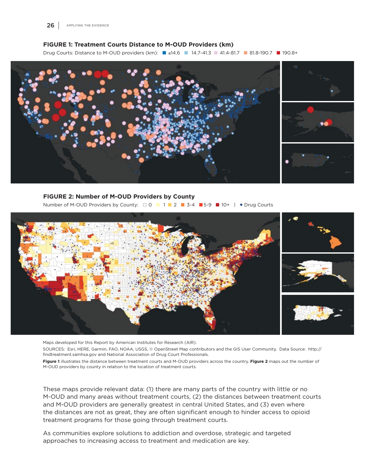#### **FIGURE 1: Treatment Courts Distance to M-OUD Providers (km)**

Drug Courts: Distance to M-OUD providers (km): ■ ≤14.6 ■ 14.7-41.3 ■ 41.4-81.7 ■ 81.8-190.7 ■ 190.8+



#### **FIGURE 2: Number of M-OUD Providers by County**

Number of M-OUD Providers by County:  $\Box$  0  $\Box$  1  $\Box$  2  $\Box$  3-4  $\Box$  5-9  $\Box$  10+  $\Box$  + Drug Courts



Maps developed for this Report by American Institutes for Research (AIR).

SOURCES: Esri, HERE, Garmin, FAO, NOAA, USGS, © OpenStreet Map contributors and the GIS User Community. Data Source: http:// findtreatment.samhsa.gov and National Association of Drug Court Professionals.

**Figure 1** illustrates the distance between treatment courts and M-OUD providers across the country. **Figure 2** maps out the number of M-OUD providers by county in relation to the location of treatment courts.

These maps provide relevant data: (1) there are many parts of the country with little or no M-OUD and many areas without treatment courts, (2) the distances between treatment courts and M-OUD providers are generally greatest in central United States, and (3) even where the distances are not as great, they are often significant enough to hinder access to opioid treatment programs for those going through treatment courts.

As communities explore solutions to addiction and overdose, strategic and targeted approaches to increasing access to treatment and medication are key.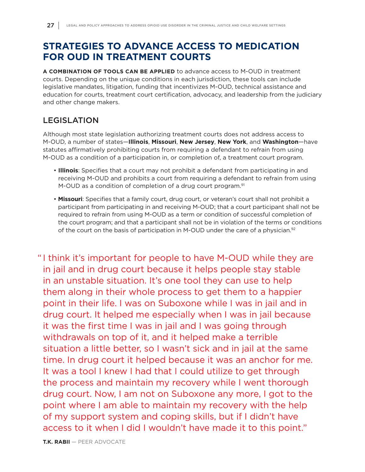# **STRATEGIES TO ADVANCE ACCESS TO MEDICATION FOR OUD IN TREATMENT COURTS**

**A COMBINATION OF TOOLS CAN BE APPLIED** to advance access to M-OUD in treatment courts. Depending on the unique conditions in each jurisdiction, these tools can include legislative mandates, litigation, funding that incentivizes M-OUD, technical assistance and education for courts, treatment court certification, advocacy, and leadership from the judiciary and other change makers.

# LEGISLATION

Although most state legislation authorizing treatment courts does not address access to M-OUD, a number of states—**Illinois**, **Missouri**, **New Jersey**, **New York**, and **Washington**—have statutes affirmatively prohibiting courts from requiring a defendant to refrain from using M-OUD as a condition of a participation in, or completion of, a treatment court program.

- **Illinois**: Specifies that a court may not prohibit a defendant from participating in and receiving M-OUD and prohibits a court from requiring a defendant to refrain from using M-OUD as a condition of completion of a drug court program.<sup>91</sup>
- **Missouri**: Specifies that a family court, drug court, or veteran's court shall not prohibit a participant from participating in and receiving M-OUD; that a court participant shall not be required to refrain from using M-OUD as a term or condition of successful completion of the court program; and that a participant shall not be in violation of the terms or conditions of the court on the basis of participation in M-OUD under the care of a physician. $92$

" I think it's important for people to have M-OUD while they are in jail and in drug court because it helps people stay stable in an unstable situation. It's one tool they can use to help them along in their whole process to get them to a happier point in their life. I was on Suboxone while I was in jail and in drug court. It helped me especially when I was in jail because it was the first time I was in jail and I was going through withdrawals on top of it, and it helped make a terrible situation a little better, so I wasn't sick and in jail at the same time. In drug court it helped because it was an anchor for me. It was a tool I knew I had that I could utilize to get through the process and maintain my recovery while I went thorough drug court. Now, I am not on Suboxone any more, I got to the point where I am able to maintain my recovery with the help of my support system and coping skills, but if I didn't have access to it when I did I wouldn't have made it to this point."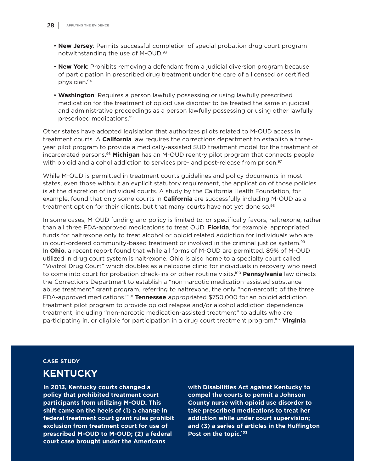- **New Jersey**: Permits successful completion of special probation drug court program notwithstanding the use of M-OUD.93
- **New York**: Prohibits removing a defendant from a judicial diversion program because of participation in prescribed drug treatment under the care of a licensed or certified physician.94
- **Washington**: Requires a person lawfully possessing or using lawfully prescribed medication for the treatment of opioid use disorder to be treated the same in judicial and administrative proceedings as a person lawfully possessing or using other lawfully prescribed medications.95

Other states have adopted legislation that authorizes pilots related to M-OUD access in treatment courts. A **California** law requires the corrections department to establish a threeyear pilot program to provide a medically-assisted SUD treatment model for the treatment of incarcerated persons.96 **Michigan** has an M-OUD reentry pilot program that connects people with opioid and alcohol addiction to services pre- and post-release from prison.<sup>97</sup>

While M-OUD is permitted in treatment courts guidelines and policy documents in most states, even those without an explicit statutory requirement, the application of those policies is at the discretion of individual courts. A study by the California Health Foundation, for example, found that only some courts in **California** are successfully including M-OUD as a treatment option for their clients, but that many courts have not yet done so.<sup>98</sup>

In some cases, M-OUD funding and policy is limited to, or specifically favors, naltrexone, rather than all three FDA-approved medications to treat OUD. **Florida**, for example, appropriated funds for naltrexone only to treat alcohol or opioid related addiction for individuals who are in court-ordered community-based treatment or involved in the criminal justice system.<sup>99</sup> In **Ohio**, a recent report found that while all forms of M-OUD are permitted, 89% of M-OUD utilized in drug court system is naltrexone. Ohio is also home to a specialty court called "Vivitrol Drug Court" which doubles as a naloxone clinic for individuals in recovery who need to come into court for probation check-ins or other routine visits.100 **Pennsylvania** law directs the Corrections Department to establish a "non-narcotic medication-assisted substance abuse treatment" grant program, referring to naltrexone, the only "non-narcotic of the three FDA-approved medications."101 **Tennessee** appropriated \$750,000 for an opioid addiction treatment pilot program to provide opioid relapse and/or alcohol addiction dependence treatment, including "non-narcotic medication-assisted treatment" to adults who are participating in, or eligible for participation in a drug court treatment program.102 **Virginia**

#### **CASE STUDY**

# **KENTUCKY**

**In 2013, Kentucky courts changed a policy that prohibited treatment court participants from utilizing M-OUD. This shift came on the heels of (1) a change in federal treatment court grant rules prohibit exclusion from treatment court for use of prescribed M-OUD to M-OUD; (2) a federal court case brought under the Americans** 

**with Disabilities Act against Kentucky to compel the courts to permit a Johnson County nurse with opioid use disorder to take prescribed medications to treat her addiction while under court supervision; and (3) a series of articles in the Huffington Post on the topic.103**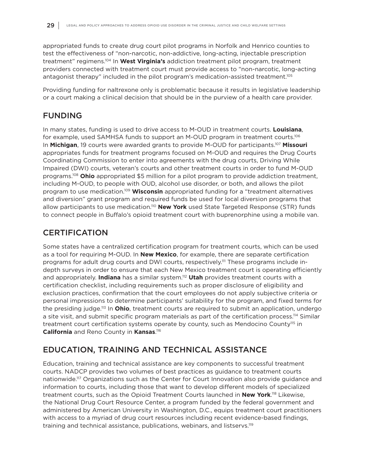appropriated funds to create drug court pilot programs in Norfolk and Henrico counties to test the effectiveness of "non-narcotic, non-addictive, long-acting, injectable prescription treatment" regimens.104 In **West Virginia's** addiction treatment pilot program, treatment providers connected with treatment court must provide access to "non-narcotic, long-acting antagonist therapy" included in the pilot program's medication-assisted treatment.105

Providing funding for naltrexone only is problematic because it results in legislative leadership or a court making a clinical decision that should be in the purview of a health care provider.

### FUNDING

In many states, funding is used to drive access to M-OUD in treatment courts. **Louisiana**, for example, used SAMHSA funds to support an M-OUD program in treatment courts.106 In **Michigan**, 19 courts were awarded grants to provide M-OUD for participants.107 **Missouri** appropriates funds for treatment programs focused on M-OUD and requires the Drug Courts Coordinating Commission to enter into agreements with the drug courts, Driving While Impaired (DWI) courts, veteran's courts and other treatment courts in order to fund M-OUD programs.108 **Ohio** appropriated \$5 million for a pilot program to provide addiction treatment, including M-OUD, to people with OUD, alcohol use disorder, or both, and allows the pilot program to use medication.109 **Wisconsin** appropriated funding for a "treatment alternatives and diversion" grant program and required funds be used for local diversion programs that allow participants to use medication.<sup>110</sup> New York used State Targeted Response (STR) funds to connect people in Buffalo's opioid treatment court with buprenorphine using a mobile van.

## **CERTIFICATION**

Some states have a centralized certification program for treatment courts, which can be used as a tool for requiring M-OUD. In **New Mexico**, for example, there are separate certification programs for adult drug courts and DWI courts, respectively.<sup>111</sup> These programs include indepth surveys in order to ensure that each New Mexico treatment court is operating efficiently and appropriately. **Indiana** has a similar system.112 **Utah** provides treatment courts with a certification checklist, including requirements such as proper disclosure of eligibility and exclusion practices, confirmation that the court employees do not apply subjective criteria or personal impressions to determine participants' suitability for the program, and fixed terms for the presiding judge.113 In **Ohio**, treatment courts are required to submit an application, undergo a site visit, and submit specific program materials as part of the certification process.<sup>114</sup> Similar treatment court certification systems operate by county, such as Mendocino County<sup>115</sup> in **California** and Reno County in **Kansas**. 116

# EDUCATION, TRAINING AND TECHNICAL ASSISTANCE

Education, training and technical assistance are key components to successful treatment courts. NADCP provides two volumes of best practices as guidance to treatment courts nationwide.117 Organizations such as the Center for Court Innovation also provide guidance and information to courts, including those that want to develop different models of specialized treatment courts, such as the Opioid Treatment Courts launched in **New York**. 118 Likewise, the National Drug Court Resource Center, a program funded by the federal government and administered by American University in Washington, D.C., equips treatment court practitioners with access to a myriad of drug court resources including recent evidence-based findings, training and technical assistance, publications, webinars, and listservs.<sup>119</sup>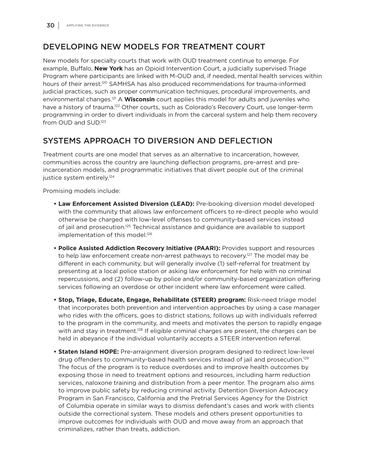# DEVELOPING NEW MODELS FOR TREATMENT COURT

New models for specialty courts that work with OUD treatment continue to emerge. For example, Buffalo, **New York** has an Opioid Intervention Court, a judicially supervised Triage Program where participants are linked with M-OUD and, if needed, mental health services within hours of their arrest.<sup>120</sup> SAMHSA has also produced recommendations for trauma-informed judicial practices, such as proper communication techniques, procedural improvements, and environmental changes.121 A **Wisconsin** court applies this model for adults and juveniles who have a history of trauma.<sup>122</sup> Other courts, such as Colorado's Recovery Court, use longer-term programming in order to divert individuals in from the carceral system and help them recovery from OUD and SUD.123

# SYSTEMS APPROACH TO DIVERSION AND DEFLECTION

Treatment courts are one model that serves as an alternative to incarceration, however, communities across the country are launching deflection programs, pre-arrest and preincarceration models, and programmatic initiatives that divert people out of the criminal justice system entirely.<sup>124</sup>

Promising models include:

- **Law Enforcement Assisted Diversion (LEAD):** Pre-booking diversion model developed with the community that allows law enforcement officers to re-direct people who would otherwise be charged with low-level offenses to community-based services instead of jail and prosecution.125 Technical assistance and guidance are available to support implementation of this model.<sup>126</sup>
- **Police Assisted Addiction Recovery Initiative (PAARI):** Provides support and resources to help law enforcement create non-arrest pathways to recovery.<sup>127</sup> The model may be different in each community, but will generally involve (1) self-referral for treatment by presenting at a local police station or asking law enforcement for help with no criminal repercussions, and (2) follow-up by police and/or community-based organization offering services following an overdose or other incident where law enforcement were called.
- **Stop, Triage, Educate, Engage, Rehabilitate (STEER) program:** Risk-need triage model that incorporates both prevention and intervention approaches by using a case manager who rides with the officers, goes to district stations, follows up with individuals referred to the program in the community, and meets and motivates the person to rapidly engage with and stay in treatment.<sup>128</sup> If eligible criminal charges are present, the charges can be held in abeyance if the individual voluntarily accepts a STEER intervention referral.
- **Staten Island HOPE:** Pre-arraignment diversion program designed to redirect low-level drug offenders to community-based health services instead of jail and prosecution.<sup>129</sup> The focus of the program is to reduce overdoses and to improve health outcomes by exposing those in need to treatment options and resources, including harm reduction services, naloxone training and distribution from a peer mentor. The program also aims to improve public safety by reducing criminal activity. Detention Diversion Advocacy Program in San Francisco, California and the Pretrial Services Agency for the District of Columbia operate in similar ways to dismiss defendant's cases and work with clients outside the correctional system. These models and others present opportunities to improve outcomes for individuals with OUD and move away from an approach that criminalizes, rather than treats, addiction.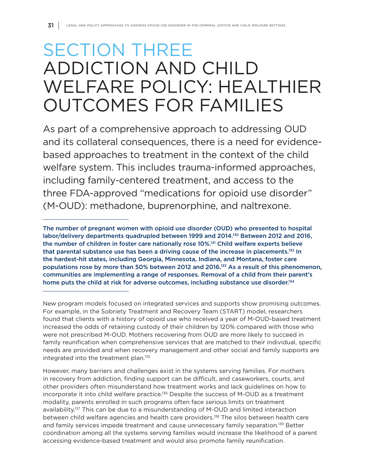# SECTION THREE ADDICTION AND CHILD WELFARE POLICY: HEALTHIER OUTCOMES FOR FAMILIES

As part of a comprehensive approach to addressing OUD and its collateral consequences, there is a need for evidencebased approaches to treatment in the context of the child welfare system. This includes trauma-informed approaches, including family-centered treatment, and access to the three FDA-approved "medications for opioid use disorder" (M-OUD): methadone, buprenorphine, and naltrexone.

The number of pregnant women with opioid use disorder (OUD) who presented to hospital labor/delivery departments quadrupled between 1999 and 2014.<sup>130</sup> Between 2012 and 2016, the number of children in foster care nationally rose 10%.131 Child welfare experts believe that parental substance use has been a driving cause of the increase in placements.<sup>132</sup> In the hardest-hit states, including Georgia, Minnesota, Indiana, and Montana, foster care populations rose by more than 50% between 2012 and 2016.133 As a result of this phenomenon, communities are implementing a range of responses. Removal of a child from their parent's home puts the child at risk for adverse outcomes, including substance use disorder.<sup>134</sup>

New program models focused on integrated services and supports show promising outcomes. For example, in the Sobriety Treatment and Recovery Team (START) model, researchers found that clients with a history of opioid use who received a year of M-OUD-based treatment increased the odds of retaining custody of their children by 120% compared with those who were not prescribed M-OUD. Mothers recovering from OUD are more likely to succeed in family reunification when comprehensive services that are matched to their individual, specific needs are provided and when recovery management and other social and family supports are integrated into the treatment plan.135

However, many barriers and challenges exist in the systems serving families. For mothers in recovery from addiction, finding support can be difficult, and caseworkers, courts, and other providers often misunderstand how treatment works and lack guidelines on how to incorporate it into child welfare practice.136 Despite the success of M-OUD as a treatment modality, parents enrolled in such programs often face serious limits on treatment availability.<sup>137</sup> This can be due to a misunderstanding of M-OUD and limited interaction between child welfare agencies and health care providers.<sup>138</sup> The silos between health care and family services impede treatment and cause unnecessary family separation.<sup>139</sup> Better coordination among all the systems serving families would increase the likelihood of a parent accessing evidence-based treatment and would also promote family reunification.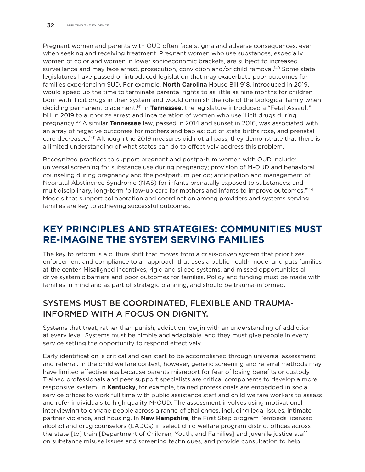Pregnant women and parents with OUD often face stigma and adverse consequences, even when seeking and receiving treatment. Pregnant women who use substances, especially women of color and women in lower socioeconomic brackets, are subject to increased surveillance and may face arrest, prosecution, conviction and/or child removal.<sup>140</sup> Some state legislatures have passed or introduced legislation that may exacerbate poor outcomes for families experiencing SUD. For example, **North Carolina** House Bill 918, introduced in 2019, would speed up the time to terminate parental rights to as little as nine months for children born with illicit drugs in their system and would diminish the role of the biological family when deciding permanent placement.141 In **Tennessee**, the legislature introduced a "Fetal Assault" bill in 2019 to authorize arrest and incarceration of women who use illicit drugs during pregnancy.142 A similar **Tennessee** law, passed in 2014 and sunset in 2016, was associated with an array of negative outcomes for mothers and babies: out of state births rose, and prenatal care decreased.143 Although the 2019 measures did not all pass, they demonstrate that there is a limited understanding of what states can do to effectively address this problem.

Recognized practices to support pregnant and postpartum women with OUD include: universal screening for substance use during pregnancy; provision of M-OUD and behavioral counseling during pregnancy and the postpartum period; anticipation and management of Neonatal Abstinence Syndrome (NAS) for infants prenatally exposed to substances; and multidisciplinary, long-term follow-up care for mothers and infants to improve outcomes."<sup>144</sup> Models that support collaboration and coordination among providers and systems serving families are key to achieving successful outcomes.

# **KEY PRINCIPLES AND STRATEGIES: COMMUNITIES MUST RE-IMAGINE THE SYSTEM SERVING FAMILIES**

The key to reform is a culture shift that moves from a crisis-driven system that prioritizes enforcement and compliance to an approach that uses a public health model and puts families at the center. Misaligned incentives, rigid and siloed systems, and missed opportunities all drive systemic barriers and poor outcomes for families. Policy and funding must be made with families in mind and as part of strategic planning, and should be trauma-informed.

# SYSTEMS MUST BE COORDINATED, FLEXIBLE AND TRAUMA-INFORMED WITH A FOCUS ON DIGNITY.

Systems that treat, rather than punish, addiction, begin with an understanding of addiction at every level. Systems must be nimble and adaptable, and they must give people in every service setting the opportunity to respond effectively.

Early identification is critical and can start to be accomplished through universal assessment and referral. In the child welfare context, however, generic screening and referral methods may have limited effectiveness because parents misreport for fear of losing benefits or custody. Trained professionals and peer support specialists are critical components to develop a more responsive system. In **Kentucky**, for example, trained professionals are embedded in social service offices to work full time with public assistance staff and child welfare workers to assess and refer individuals to high quality M-OUD. The assessment involves using motivational interviewing to engage people across a range of challenges, including legal issues, intimate partner violence, and housing. In **New Hampshire**, the First Step program "embeds licensed alcohol and drug counselors (LADCs) in select child welfare program district offices across the state [to] train [Department of Children, Youth, and Families] and juvenile justice staff on substance misuse issues and screening techniques, and provide consultation to help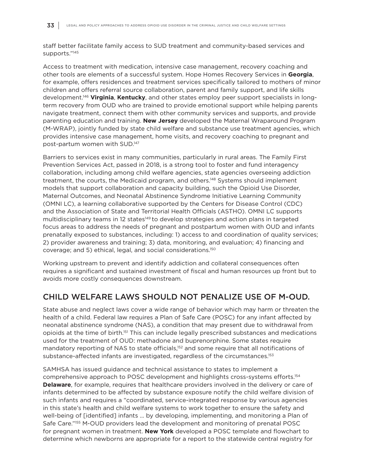staff better facilitate family access to SUD treatment and community-based services and supports."145

Access to treatment with medication, intensive case management, recovery coaching and other tools are elements of a successful system. Hope Homes Recovery Services in **Georgia**, for example, offers residences and treatment services specifically tailored to mothers of minor children and offers referral source collaboration, parent and family support, and life skills development.146 **Virginia**, **Kentucky**, and other states employ peer support specialists in longterm recovery from OUD who are trained to provide emotional support while helping parents navigate treatment, connect them with other community services and supports, and provide parenting education and training. **New Jersey** developed the Maternal Wraparound Program (M-WRAP), jointly funded by state child welfare and substance use treatment agencies, which provides intensive case management, home visits, and recovery coaching to pregnant and post-partum women with SUD.147

Barriers to services exist in many communities, particularly in rural areas. The Family First Prevention Services Act, passed in 2018, is a strong tool to foster and fund interagency collaboration, including among child welfare agencies, state agencies overseeing addiction treatment, the courts, the Medicaid program, and others.148 Systems should implement models that support collaboration and capacity building, such the Opioid Use Disorder, Maternal Outcomes, and Neonatal Abstinence Syndrome Initiative Learning Community (OMNI LC), a learning collaborative supported by the Centers for Disease Control (CDC) and the Association of State and Territorial Health Officials (ASTHO). OMNI LC supports multidisciplinary teams in 12 states<sup>149</sup> to develop strategies and action plans in targeted focus areas to address the needs of pregnant and postpartum women with OUD and infants prenatally exposed to substances, including: 1) access to and coordination of quality services; 2) provider awareness and training; 3) data, monitoring, and evaluation; 4) financing and coverage; and 5) ethical, legal, and social considerations.150

Working upstream to prevent and identify addiction and collateral consequences often requires a significant and sustained investment of fiscal and human resources up front but to avoids more costly consequences downstream.

#### CHILD WELFARE LAWS SHOULD NOT PENALIZE USE OF M-OUD.

State abuse and neglect laws cover a wide range of behavior which may harm or threaten the health of a child. Federal law requires a Plan of Safe Care (POSC) for any infant affected by neonatal abstinence syndrome (NAS), a condition that may present due to withdrawal from opioids at the time of birth.151 This can include legally prescribed substances and medications used for the treatment of OUD: methadone and buprenorphine. Some states require mandatory reporting of NAS to state officials,<sup>152</sup> and some require that all notifications of substance-affected infants are investigated, regardless of the circumstances.<sup>153</sup>

SAMHSA has issued guidance and technical assistance to states to implement a comprehensive approach to POSC development and highlights cross-systems efforts.154 **Delaware**, for example, requires that healthcare providers involved in the delivery or care of infants determined to be affected by substance exposure notify the child welfare division of such infants and requires a "coordinated, service-integrated response by various agencies in this state's health and child welfare systems to work together to ensure the safety and well-being of [identified] infants ... by developing, implementing, and monitoring a Plan of Safe Care."155 M-OUD providers lead the development and monitoring of prenatal POSC for pregnant women in treatment. **New York** developed a POSC template and flowchart to determine which newborns are appropriate for a report to the statewide central registry for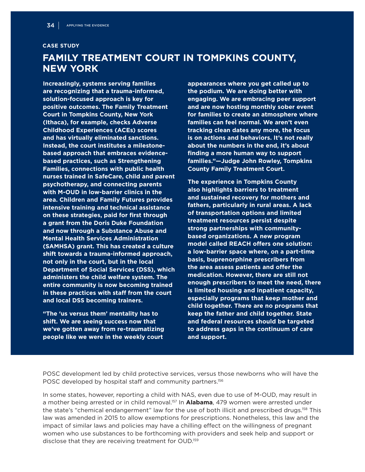#### **CASE STUDY**

# **FAMILY TREATMENT COURT IN TOMPKINS COUNTY, NEW YORK**

**Increasingly, systems serving families are recognizing that a trauma-informed, solution-focused approach is key for positive outcomes. The Family Treatment Court in Tompkins County, New York (Ithaca), for example, checks Adverse Childhood Experiences (ACEs) scores and has virtually eliminated sanctions. Instead, the court institutes a milestonebased approach that embraces evidencebased practices, such as Strengthening Families, connections with public health nurses trained in SafeCare, child and parent psychotherapy, and connecting parents with M-OUD in low-barrier clinics in the area. Children and Family Futures provides intensive training and technical assistance on these strategies, paid for first through a grant from the Doris Duke Foundation and now through a Substance Abuse and Mental Health Services Administration (SAMHSA) grant. This has created a culture shift towards a trauma-informed approach, not only in the court, but in the local Department of Social Services (DSS), which administers the child welfare system. The entire community is now becoming trained in these practices with staff from the court and local DSS becoming trainers.**

**"The 'us versus them' mentality has to shift. We are seeing success now that we've gotten away from re-traumatizing people like we were in the weekly court** 

**appearances where you get called up to the podium. We are doing better with engaging. We are embracing peer support and are now hosting monthly sober event for families to create an atmosphere where families can feel normal. We aren't even tracking clean dates any more, the focus is on actions and behaviors. It's not really about the numbers in the end, it's about finding a more human way to support families."—Judge John Rowley, Tompkins County Family Treatment Court.**

**The experience in Tompkins County also highlights barriers to treatment and sustained recovery for mothers and fathers, particularly in rural areas. A lack of transportation options and limited treatment resources persist despite strong partnerships with communitybased organizations. A new program model called REACH offers one solution: a low-barrier space where, on a part-time basis, buprenorphine prescribers from the area assess patients and offer the medication. However, there are still not enough prescribers to meet the need, there is limited housing and inpatient capacity, especially programs that keep mother and child together. There are no programs that keep the father and child together. State and federal resources should be targeted to address gaps in the continuum of care and support.**

POSC development led by child protective services, versus those newborns who will have the POSC developed by hospital staff and community partners.<sup>156</sup>

In some states, however, reporting a child with NAS, even due to use of M-OUD, may result in a mother being arrested or in child removal.157 In **Alabama**, 479 women were arrested under the state's "chemical endangerment" law for the use of both illicit and prescribed drugs.<sup>158</sup> This law was amended in 2015 to allow exemptions for prescriptions. Nonetheless, this law and the impact of similar laws and policies may have a chilling effect on the willingness of pregnant women who use substances to be forthcoming with providers and seek help and support or disclose that they are receiving treatment for OUD.<sup>159</sup>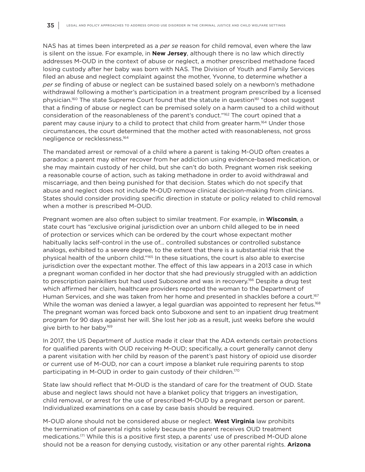NAS has at times been interpreted as a *per se* reason for child removal, even where the law is silent on the issue. For example, in **New Jersey**, although there is no law which directly addresses M-OUD in the context of abuse or neglect, a mother prescribed methadone faced losing custody after her baby was born with NAS. The Division of Youth and Family Services filed an abuse and neglect complaint against the mother, Yvonne, to determine whether a *per se* finding of abuse or neglect can be sustained based solely on a newborn's methadone withdrawal following a mother's participation in a treatment program prescribed by a licensed physician.<sup>160</sup> The state Supreme Court found that the statute in question<sup>161</sup> "does not suggest that a finding of abuse or neglect can be premised solely on a harm caused to a child without consideration of the reasonableness of the parent's conduct."<sup>162</sup> The court opined that a parent may cause injury to a child to protect that child from greater harm.<sup>164</sup> Under those circumstances, the court determined that the mother acted with reasonableness, not gross negligence or recklessness.164

The mandated arrest or removal of a child where a parent is taking M-OUD often creates a paradox: a parent may either recover from her addiction using evidence-based medication, or she may maintain custody of her child, but she can't do both. Pregnant women risk seeking a reasonable course of action, such as taking methadone in order to avoid withdrawal and miscarriage, and then being punished for that decision. States which do not specify that abuse and neglect does not include M-OUD remove clinical decision-making from clinicians. States should consider providing specific direction in statute or policy related to child removal when a mother is prescribed M-OUD.

Pregnant women are also often subject to similar treatment. For example, in **Wisconsin**, a state court has "exclusive original jurisdiction over an unborn child alleged to be in need of protection or services which can be ordered by the court whose expectant mother habitually lacks self-control in the use of… controlled substances or controlled substance analogs, exhibited to a severe degree, to the extent that there is a substantial risk that the physical health of the unborn child."165 In these situations, the court is also able to exercise jurisdiction over the expectant mother. The effect of this law appears in a 2013 case in which a pregnant woman confided in her doctor that she had previously struggled with an addiction to prescription painkillers but had used Suboxone and was in recovery.<sup>166</sup> Despite a drug test which affirmed her claim, healthcare providers reported the woman to the Department of Human Services, and she was taken from her home and presented in shackles before a court.<sup>167</sup> While the woman was denied a lawyer, a legal guardian was appointed to represent her fetus.<sup>168</sup> The pregnant woman was forced back onto Suboxone and sent to an inpatient drug treatment program for 90 days against her will. She lost her job as a result, just weeks before she would give birth to her baby.169

In 2017, the US Department of Justice made it clear that the ADA extends certain protections for qualified parents with OUD receiving M-OUD; specifically, a court generally cannot deny a parent visitation with her child by reason of the parent's past history of opioid use disorder or current use of M-OUD, nor can a court impose a blanket rule requiring parents to stop participating in M-OUD in order to gain custody of their children.<sup>170</sup>

State law should reflect that M-OUD is the standard of care for the treatment of OUD. State abuse and neglect laws should not have a blanket policy that triggers an investigation, child removal, or arrest for the use of prescribed M-OUD by a pregnant person or parent. Individualized examinations on a case by case basis should be required.

M-OUD alone should not be considered abuse or neglect. **West Virginia** law prohibits the termination of parental rights solely because the parent receives OUD treatment medications.171 While this is a positive first step, a parents' use of prescribed M-OUD alone should not be a reason for denying custody, visitation or any other parental rights. **Arizona**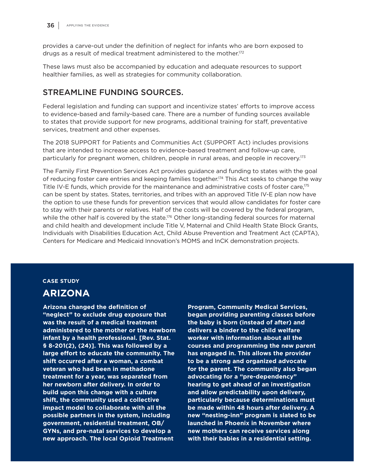provides a carve-out under the definition of neglect for infants who are born exposed to drugs as a result of medical treatment administered to the mother.172

These laws must also be accompanied by education and adequate resources to support healthier families, as well as strategies for community collaboration.

### STREAMLINE FUNDING SOURCES.

Federal legislation and funding can support and incentivize states' efforts to improve access to evidence-based and family-based care. There are a number of funding sources available to states that provide support for new programs, additional training for staff, preventative services, treatment and other expenses.

The 2018 SUPPORT for Patients and Communities Act (SUPPORT Act) includes provisions that are intended to increase access to evidence-based treatment and follow-up care, particularly for pregnant women, children, people in rural areas, and people in recovery.<sup>173</sup>

The Family First Prevention Services Act provides guidance and funding to states with the goal of reducing foster care entries and keeping families together.174 This Act seeks to change the way Title IV-E funds, which provide for the maintenance and administrative costs of foster care,<sup>175</sup> can be spent by states. States, territories, and tribes with an approved Title IV-E plan now have the option to use these funds for prevention services that would allow candidates for foster care to stay with their parents or relatives. Half of the costs will be covered by the federal program, while the other half is covered by the state.<sup>176</sup> Other long-standing federal sources for maternal and child health and development include Title V, Maternal and Child Health State Block Grants, Individuals with Disabilities Education Act, Child Abuse Prevention and Treatment Act (CAPTA), Centers for Medicare and Medicaid Innovation's MOMS and InCK demonstration projects.

#### **CASE STUDY**

### **ARIZONA**

**Arizona changed the definition of "neglect" to exclude drug exposure that was the result of a medical treatment administered to the mother or the newborn infant by a health professional. [Rev. Stat. § 8-201(2), (24)]. This was followed by a large effort to educate the community. The shift occurred after a woman, a combat veteran who had been in methadone treatment for a year, was separated from her newborn after delivery. In order to build upon this change with a culture shift, the community used a collective impact model to collaborate with all the possible partners in the system, including government, residential treatment, OB/ GYNs, and pre-natal services to develop a new approach. The local Opioid Treatment** 

**Program, Community Medical Services, began providing parenting classes before the baby is born (instead of after) and delivers a binder to the child welfare worker with information about all the courses and programming the new parent has engaged in. This allows the provider to be a strong and organized advocate for the parent. The community also began advocating for a "pre-dependency" hearing to get ahead of an investigation and allow predictability upon delivery, particularly because determinations must be made within 48 hours after delivery. A new "nesting-inn" program is slated to be launched in Phoenix in November where new mothers can receive services along with their babies in a residential setting.**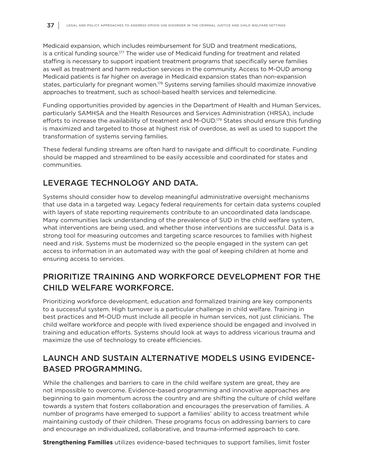Medicaid expansion, which includes reimbursement for SUD and treatment medications, is a critical funding source.177 The wider use of Medicaid funding for treatment and related staffing is necessary to support inpatient treatment programs that specifically serve families as well as treatment and harm reduction services in the community. Access to M-OUD among Medicaid patients is far higher on average in Medicaid expansion states than non-expansion states, particularly for pregnant women.<sup>178</sup> Systems serving families should maximize innovative approaches to treatment, such as school-based health services and telemedicine.

Funding opportunities provided by agencies in the Department of Health and Human Services, particularly SAMHSA and the Health Resources and Services Administration (HRSA), include efforts to increase the availability of treatment and M-OUD.<sup>179</sup> States should ensure this funding is maximized and targeted to those at highest risk of overdose, as well as used to support the transformation of systems serving families.

These federal funding streams are often hard to navigate and difficult to coordinate. Funding should be mapped and streamlined to be easily accessible and coordinated for states and communities.

# LEVERAGE TECHNOLOGY AND DATA.

Systems should consider how to develop meaningful administrative oversight mechanisms that use data in a targeted way. Legacy federal requirements for certain data systems coupled with layers of state reporting requirements contribute to an uncoordinated data landscape. Many communities lack understanding of the prevalence of SUD in the child welfare system, what interventions are being used, and whether those interventions are successful. Data is a strong tool for measuring outcomes and targeting scarce resources to families with highest need and risk. Systems must be modernized so the people engaged in the system can get access to information in an automated way with the goal of keeping children at home and ensuring access to services.

# PRIORITIZE TRAINING AND WORKFORCE DEVELOPMENT FOR THE CHILD WELFARE WORKFORCE.

Prioritizing workforce development, education and formalized training are key components to a successful system. High turnover is a particular challenge in child welfare. Training in best practices and M-OUD must include all people in human services, not just clinicians. The child welfare workforce and people with lived experience should be engaged and involved in training and education efforts. Systems should look at ways to address vicarious trauma and maximize the use of technology to create efficiencies.

# LAUNCH AND SUSTAIN ALTERNATIVE MODELS USING EVIDENCE-BASED PROGRAMMING.

While the challenges and barriers to care in the child welfare system are great, they are not impossible to overcome. Evidence-based programming and innovative approaches are beginning to gain momentum across the country and are shifting the culture of child welfare towards a system that fosters collaboration and encourages the preservation of families. A number of programs have emerged to support a families' ability to access treatment while maintaining custody of their children. These programs focus on addressing barriers to care and encourage an individualized, collaborative, and trauma-informed approach to care.

**Strengthening Families** utilizes evidence-based techniques to support families, limit foster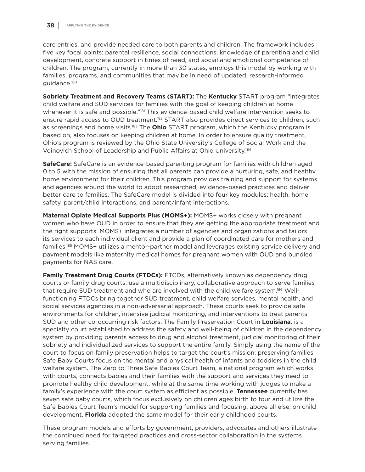care entries, and provide needed care to both parents and children. The framework includes five key focal points: parental resilience, social connections, knowledge of parenting and child development, concrete support in times of need, and social and emotional competence of children. The program, currently in more than 30 states, employs this model by working with families, programs, and communities that may be in need of updated, research-informed guidance.180

**Sobriety Treatment and Recovery Teams (START):** The **Kentucky** START program "integrates child welfare and SUD services for families with the goal of keeping children at home whenever it is safe and possible."<sup>181</sup> This evidence-based child welfare intervention seeks to ensure rapid access to OUD treatment.<sup>182</sup> START also provides direct services to children, such as screenings and home visits.183 The **Ohio** START program, which the Kentucky program is based on, also focuses on keeping children at home. In order to ensure quality treatment, Ohio's program is reviewed by the Ohio State University's College of Social Work and the Voinovich School of Leadership and Public Affairs at Ohio University.184

**SafeCare:** SafeCare is an evidence-based parenting program for families with children aged 0 to 5 with the mission of ensuring that all parents can provide a nurturing, safe, and healthy home environment for their children. This program provides training and support for systems and agencies around the world to adopt researched, evidence-based practices and deliver better care to families. The SafeCare model is divided into four key modules: health, home safety, parent/child interactions, and parent/infant interactions.

**Maternal Opiate Medical Supports Plus (MOMS+):** MOMS+ works closely with pregnant women who have OUD in order to ensure that they are getting the appropriate treatment and the right supports. MOMS+ integrates a number of agencies and organizations and tailors its services to each individual client and provide a plan of coordinated care for mothers and families.185 MOMS+ utilizes a mentor-partner model and leverages existing service delivery and payment models like maternity medical homes for pregnant women with OUD and bundled payments for NAS care.

**Family Treatment Drug Courts (FTDCs):** FTCDs, alternatively known as dependency drug courts or family drug courts, use a multidisciplinary, collaborative approach to serve families that require SUD treatment and who are involved with the child welfare system.186 Wellfunctioning FTDCs bring together SUD treatment, child welfare services, mental health, and social services agencies in a non-adversarial approach. These courts seek to provide safe environments for children, intensive judicial monitoring, and interventions to treat parents' SUD and other co-occurring risk factors. The Family Preservation Court in **Louisiana**, is a specialty court established to address the safety and well-being of children in the dependency system by providing parents access to drug and alcohol treatment, judicial monitoring of their sobriety and individualized services to support the entire family. Simply using the name of the court to focus on family preservation helps to target the court's mission: preserving families. Safe Baby Courts focus on the mental and physical health of infants and toddlers in the child welfare system. The Zero to Three Safe Babies Court Team, a national program which works with courts, connects babies and their families with the support and services they need to promote healthy child development, while at the same time working with judges to make a family's experience with the court system as efficient as possible. **Tennessee** currently has seven safe baby courts, which focus exclusively on children ages birth to four and utilize the Safe Babies Court Team's model for supporting families and focusing, above all else, on child development. **Florida** adopted the same model for their early childhood courts.

These program models and efforts by government, providers, advocates and others illustrate the continued need for targeted practices and cross-sector collaboration in the systems serving families.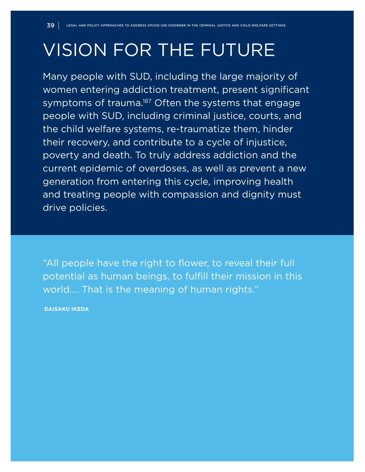# VISION FOR THE FUTURE

Many people with SUD, including the large majority of women entering addiction treatment, present significant symptoms of trauma.<sup>187</sup> Often the systems that engage people with SUD, including criminal justice, courts, and the child welfare systems, re-traumatize them, hinder their recovery, and contribute to a cycle of injustice, poverty and death. To truly address addiction and the current epidemic of overdoses, as well as prevent a new generation from entering this cycle, improving health and treating people with compassion and dignity must drive policies.

"All people have the right to flower, to reveal their full potential as human beings, to fulfill their mission in this world…. That is the meaning of human rights."

 **DAISAKU IKEDA**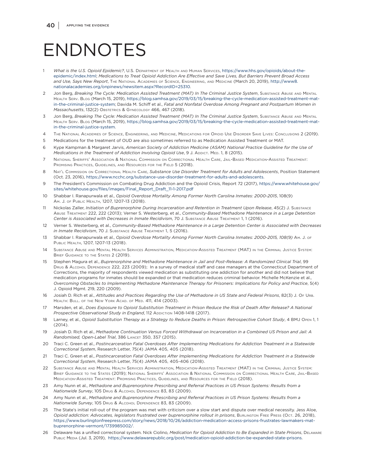# ENDNOTES

- 1 *What is the U.S. Opioid Epidemic?*, U.S. Department of Health and Human Services, https://www.hhs.gov/opioids/about-theepidemic/index.html; *Medications to Treat Opioid Addiction Are Effective and Save Lives, But Barriers Prevent Broad Access and Use, Says New Report*, The National Academies of Science, Engineering, and Medicine (March 20, 2019), [http://www8.](http://www8.nationalacademies.org/onpinews/newsitem.aspx?RecordID=25310) [nationalacademies.org/onpinews/newsitem.aspx?RecordID=25310.](http://www8.nationalacademies.org/onpinews/newsitem.aspx?RecordID=25310)
- 2 Jon Berg, *Breaking The Cycle: Medication Assisted Treatment (MAT) In The Criminal Justice System*, Substance Abuse and Mental Health Serv. Blog (March 15, 2019), [https://blog.samhsa.gov/2019/03/15/breaking-the-cycle-medication-assisted-treatment-mat](https://blog.samhsa.gov/2019/03/15/breaking-the-cycle-medication-assisted-treatment-mat-in-the-criminal-justice-system)[in-the-criminal-justice-system;](https://blog.samhsa.gov/2019/03/15/breaking-the-cycle-medication-assisted-treatment-mat-in-the-criminal-justice-system) Davida M. Schiff et al., *Fatal and Nonfatal Overdose Among Pregnant and Postpartum Women in Massachusetts*, 132(2) Obstetrics & Gynecology 466, 467 (2018).
- Jon Berg, *Breaking The Cycle: Medication Assisted Treatment (MAT) In The Criminal Justice System*, SUBSTANCE ABUSE AND MENTAL Health Serv. Blog (March 15, 2019), [https://blog.samhsa.gov/2019/03/15/breaking-the-cycle-medication-assisted-treatment-mat](https://blog.samhsa.gov/2019/03/15/breaking-the-cycle-medication-assisted-treatment-mat-in-the-criminal-justice-system)[in-the-criminal-justice-system.](https://blog.samhsa.gov/2019/03/15/breaking-the-cycle-medication-assisted-treatment-mat-in-the-criminal-justice-system)
- 4 The National Academies of Science, Engineering, and Medicine, Medications for Opioid Use Disorder Save Lives: Conclusions 2 (2019).
- 5 Medications for the treatment of OUD are also sometimes referred to as Medication Assisted Treatment or MAT.
- 6 Kype Kampman & Margaret Jarvis, *American Society of Addiction Medicine (ASAM) National Practice Guideline for the Use of Medications in the Treatment of Addiction Involving Opioid Use*, 9 J. ADDICT. MED. 1, 8 (2015).
- 7 National Sheriffs' Association & National Commission on Correctional Health Care, Jail-Based Medication-Assisted Treatment: PROMISING PRACTICES, GUIDELINES, AND RESOURCES FOR THE FIELD 5 (2018).
- 8 Nat'l Commission on Correctional Health Care, *Substance Use Disorder Treatment for Adults and Adolescents*, Position Statement (Oct. 23, 2016), [https://www.ncchc.org/substance-use-disorder-treatment-for-adults-and-adolescents.](https://www.ncchc.org/substance-use-disorder-treatment-for-adults-and-adolescents)
- 9 The President's Commission on Combating Drug Addiction and the Opioid Crisis, Report 72 (2017), [https://www.whitehouse.gov/](https://www.whitehouse.gov/sites/whitehouse.gov/files/images/Final_Report_Draft_11-1-2017.pdf) [sites/whitehouse.gov/files/images/Final\\_Report\\_Draft\\_11-1-2017.pdf](https://www.whitehouse.gov/sites/whitehouse.gov/files/images/Final_Report_Draft_11-1-2017.pdf)
- 10 Shabbar I. Ranapurwala et al., *Opioid Overdose Mortality Among Former North Carolina Inmates: 2000-2015*, 108(9) Am. J. of Public Health, 1207, 1207-13 (2018).
- 11 Nickolas Zaller, *Initiation of Buprenorphine During Incarceration and Retention in Treatment Upon Release*, 45(2) J. Substance Abuse Treatment 222, 222 (2013); Verner S. Westerberg, et al., *Community-Based Methadone Maintenance in a Large Detention Center is Associated with Decreases in Inmate Recidivism*, 70 J. Substance Abuse Treatment 1, 1 (2016).
- 12 Verner S. Westerberg, et al., *Community-Based Methadone Maintenance in a Large Detention Center is Associated with Decreases in Inmate Recidivism*, 70 J. SUBSTANCE ABUSE TREATMENT 1, 5 (2016).
- 13 Shabbar I. Ranapurwala et al., *Opioid Overdose Mortality Among Former North Carolina Inmates: 2000-2015, 108(9)* Am. J. of Public Health, 1207, 1207-13 (2018).
- 14 Substance Abuse and Mental Health Services Administration, Medication-Assisted Treatment (MAT) in the Criminal Justice System: BRIEF GUIDANCE TO THE STATES 2 (2019).
- 15 Stephen Magura et al., *Buprenorphine and Methadone Maintenance in Jail and Post-Release: A Randomized Clinical Trial*, 99 Drug & Alcohol Dependence 222, 223 (2009); In a survey of medical staff and case managers at the Connecticut Department of Corrections, the majority of respondents viewed medication as substituting one addiction for another and did not believe that medication programs for inmates should be expanded or that medication reduces criminal behavior. Michelle McKenzie et al., *Overcoming Obstacles to Implementing Methadone Maintenance Therapy for Prisoners: Implications for Policy and Practice*, 5(4) J. Opioid Mgmt. 219, 220 (2009).
- 16 Josiah D. Rich et al., *Attitudes and Practices Regarding the Use of Methadone in US State and Federal Prisons*, 82(3) J. Of Urb. HEALTH: BULL. OF THE NEW YORK ACAD. OF MED. 411, 414 (2003).
- 17 Marsden, et al., *Does Exposure to Opioid Substitution Treatment in Prison Reduce the Risk of Death After Release? A National*  **Prospective Observational Study in England, 112 ADDICTION 1408-1418 (2017).**
- 18 Larney, et al., *Opioid Substitution Therapy as a Strategy to Reduce Deaths in Prison: Retrospective Cohort Study*, 4 BMJ Open 1, 1 (2014).
- 19 Josiah D. Rich et al., *Methadone Continuation Versus Forced Withdrawal on Incarceration in a Combined US Prison and Jail: A Randomised, Open-Label Trial*, 386 Lancet 350, 357 (2015).
- 20 Traci C. Green et al., *Postincarceration Fatal Overdoses After Implementing Medications for Addiction Treatment in a Statewide Correctional System*, Research Letter, 75(4) JAMA 405, 405 (2018).
- 21 Traci C. Green et al., *Postincarceration Fatal Overdoses After Implementing Medications for Addiction Treatment in a Statewide Correctional System*, Research Letter, 75(4) JAMA 405, 405-406 (2018).
- 22 Substance Abuse and Mental Health Services Administration, Medication-Assisted Treatment (MAT) in the Criminal Justice System: Brief Guidance to the States (2019); National Sheriffs' Association & National Commission on Correctional Health Care, Jail-Based Medication-Assisted Treatment: Promising Practices, Guidelines, and Resources for the Field (2018).
- 23 Amy Nunn et al., *Methadone and Buprenorphine Prescribing and Referral Practices in US Prison Systems: Results from a Nationwide Survey*, 105 Drug & Alcohol Dependence 83, 83 (2009).
- 24 Amy Nunn et al., *Methadone and Buprenorphine Prescribing and Referral Practices in US Prison Systems: Results from a Nationwide Survey*, 105 Drug & Alcohol Dependence 83, 83 (2009).
- 25 The State's initial roll-out of the program was met with criticism over a slow start and dispute over medical necessity. Jess Aloe, Opioid addiction: Advocates, legislators frustrated over buprenorphine rollout in prisons, BurLINGTON FREE PRESS (Oct. 26, 2018), [https://www.burlingtonfreepress.com/story/news/2018/10/26/addiction-medication-access-prisons-frustrates-lawmakers-mat](https://www.burlingtonfreepress.com/story/news/2018/10/26/addiction-medication-access-prisons-frustrates-lawmakers-mat-buprenorphine-vermont/1739985002/)[buprenorphine-vermont/1739985002/](https://www.burlingtonfreepress.com/story/news/2018/10/26/addiction-medication-access-prisons-frustrates-lawmakers-mat-buprenorphine-vermont/1739985002/).
- 26 Delaware has a unified correctional system. Nick Ciolino, *Medication for Opioid Addiction to Be Expanded in State Prisons*, Delaware Public Media (Jul. 3, 2019), <https://www.delawarepublic.org/post/medication-opioid-addiction-be-expanded-state-prisons>.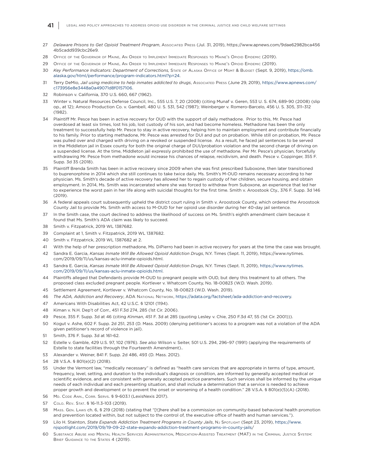- 27 *Delaware Prisons to Get Opioid Treatment Program*, Associated Press (Jul. 31, 2019), [https://www.apnews.com/9dae62982bca456](https://www.apnews.com/9dae62982bca4564b5cadd939cbc26e9) [4b5cadd939cbc26e9.](https://www.apnews.com/9dae62982bca4564b5cadd939cbc26e9)
- 28 Office of the Governor of Maine, An Order to Implement Immediate Responses to Maine's Opioid Epidemic (2019).
- 29 Office of the Governor of Maine, An Order to Implement Immediate Responses to Maine's Opioid Epidemic (2019).
- 30 *Key Performance Indicators: Department of Corrections,* State of Alaska Office of Mgmt & Budget (Sept. 9, 2019), [https://omb.](https://omb.alaska.gov/html/performance/program-indicators.html?p=24) [alaska.gov/html/performance/program-indicators.html?p=24](https://omb.alaska.gov/html/performance/program-indicators.html?p=24).
- 31 Terry DeMio, *Jail using medicine to help inmates addicted to drugs*, Associated Press (June 29, 2019), [https://www.apnews.com/](https://www.apnews.com/c173956e8e3448a0a49071d8f0157106) [c173956e8e3448a0a49071d8f0157106.](https://www.apnews.com/c173956e8e3448a0a49071d8f0157106)
- 32 Robinson v. California, 370 U.S. 660, 667 (1962).
- 33 Winter v. Natural Resources Defense Council, Inc., 555 U.S. 7, 20 (2008) (citing Munaf v. Geren, 553 U. S. 674, 689-90 (2008) (slip op., at 12); Amoco Production Co. v. Gambell, 480 U. S. 531, 542 (1987); Weinberger v. Romero-Barcelo, 456 U. S. 305, 311–312 (1982).
- 34 Plaintiff Mr. Pesce has been in active recovery for OUD with the support of daily methadone. Prior to this, Mr. Pesce had overdosed at least six times, lost his job, lost custody of his son, and had become homeless. Methadone has been the only treatment to successfully help Mr. Pesce to stay in active recovery, helping him to maintain employment and contribute financially to his family. Prior to starting methadone, Mr. Pesce was arrested for DUI and put on probation. While still on probation, Mr. Pesce was pulled over and charged with driving on a revoked or suspended license. As a result, he faced jail sentences to be served in the Middleton jail in Essex county for both the original charge of DUI/probation violation and the second charge of driving on a suspended license. At the time, Middleton jail expressly prohibited the use of methadone. Per Mr. Pesce's physician, forcefully withdrawing Mr. Pesce from methadone would increase his chances of relapse, recidivism, and death. Pesce v. Coppinger, 355 F. Supp. 3d 35 (2018).
- 35 Plaintiff Brenda Smith has been in active recovery since 2009 when she was first prescribed Suboxone, then later transitioned to buprenorphine in 2014 which she still continues to take twice daily. Ms. Smith's M-OUD remains necessary according to her physician. Ms. Smith's decade of active recovery has allowed her to regain custody of her children, secure housing, and obtain employment. In 2014, Ms. Smith was incarcerated where she was forced to withdraw from Suboxone, an experience that led her to experience the worst pain in her life along with suicidal thoughts for the first time. Smith v. Aroostook Cty., 376 F. Supp. 3d 146 (2019).
- 36 A federal appeals court subsequently upheld the district court ruling in Smith v. Aroostook County, which ordered the Aroostook County Jail to provide Ms. Smith with access to M-OUD for her opioid use disorder during her 40-day jail sentence.
- 37 In the Smith case, the court declined to address the likelihood of success on Ms. Smith's eighth amendment claim because it found that Ms. Smith's ADA claim was likely to succeed.
- 38 Smith v. Fitzpatrick, 2019 WL 1387682.
- 39 Complaint at 1, Smith v. Fitzpatrick, 2019 WL 1387682.
- 40 Smith v. Fitzpatrick, 2019 WL 1387682 at 2.
- 41 With the help of her prescription methadone, Ms. DiPierro had been in active recovery for years at the time the case was brought.
- 42 Sandra E. Garcia, *Kansas Inmate Will Be Allowed Opioid Addiction Drugs*, N.Y. Times (Sept. 11, 2019), https://www.nytimes. com/2019/09/11/us/kansas-aclu-inmate-opioids.html.
- 43 Sandra E. Garcia, *Kansas Inmate Will Be Allowed Opioid Addiction Drugs*, N.Y. Times (Sept. 11, 2019), [https://www.nytimes.](https://www.nytimes.com/2019/09/11/us/kansas-aclu-inmate-opioids.html) [com/2019/09/11/us/kansas-aclu-inmate-opioids.html.](https://www.nytimes.com/2019/09/11/us/kansas-aclu-inmate-opioids.html)
- 44 Plaintiffs alleged that Defendants provide M-OUD to pregnant people with OUD, but deny this treatment to all others. The proposed class excluded pregnant people. Kortlever v. Whatcom County, No. 18-00823 (W.D. Wash. 2019).
- 45 Settlement Agreement, Kortlever v. Whatcom County, No. 18-00823 (W.D. Wash. 2019).
- 46 *The ADA, Addiction and Recovery*, ADA National Network, <https://adata.org/factsheet/ada-addiction-and-recovery>.
- 47 Americans With Disabilities Act, 42 U.S.C. § 12101 (1194).
- 48 Kiman v. N.H. Dep't of Corr., 451 F.3d 274, 285 (1st Cir. 2006).
- 49 Pesce, 355 F. Supp. 3d at 46 (citing *Kinman*, 451 F. 3d at 285 (quoting Lesley v. Chie, 250 F.3d 47, 55 (1st Cir. 2001))).
- 50 Kogut v. Ashe, 602 F. Supp. 2d 251, 253 (D. Mass. 2009) (denying petitioner's access to a program was not a violation of the ADA given petitioner's record of violence in jail).
- 51 Smith, 376 F. Supp. 3d at 161-62.
- 52 Estelle v. Gamble, 429 U.S. 97, 102 (1976). *See also* Wilson v. Seiter, 501 U.S. 294, 296–97 (1991) (applying the requirements of Estelle to state facilities through the Fourteenth Amendment)..
- 53 Alexander v. Weiner, 841 F. Supp. 2d 486, 493 (D. Mass. 2012).
- 54 28 V.S.A. § 801(e)(2) (2018).
- Under the Vermont law, "medically necessary" is defined as "health care services that are appropriate in terms of type, amount, frequency, level, setting, and duration to the individual's diagnosis or condition, are informed by generally accepted medical or scientific evidence, and are consistent with generally accepted practice parameters. Such services shall be informed by the unique needs of each individual and each presenting situation, and shall include a determination that a service is needed to achieve proper growth and development or to prevent the onset or worsening of a health condition." 28 V.S.A. § 801(e)(5)(A) (2018).
- 56 Md. Code Ann., Corr. Servs. § 9-603.1 (LexisNexis 2017).
- 57 Colo. Rev. Stat. § 16-11.3-103 (2019).
- 58 Mass. Gen. Laws ch. 6, § 219 (2018) (stating that "[t]here shall be a commission on community-based behavioral health promotion and prevention located within, but not subject to the control of, the executive office of health and human services.").
- 59 Lilo H. Stainton, *State Expands Addiction Treatment Programs in County Jails*, NJ SPOTLIGHT (Sept 23, 2019), [https://www.](https://www.njspotlight.com/2019/09/19-09-22-state-expands-addiction-treatment-programs-in-county-jails) [njspotlight.com/2019/09/19-09-22-state-expands-addiction-treatment-programs-in-county-jails/](https://www.njspotlight.com/2019/09/19-09-22-state-expands-addiction-treatment-programs-in-county-jails)
- 60 Substance Abuse and Mental Health Services Administration, Medication-Assisted Treatment (MAT) in the Criminal Justice System: BRIEF GUIDANCE TO THE STATES 4 (2019).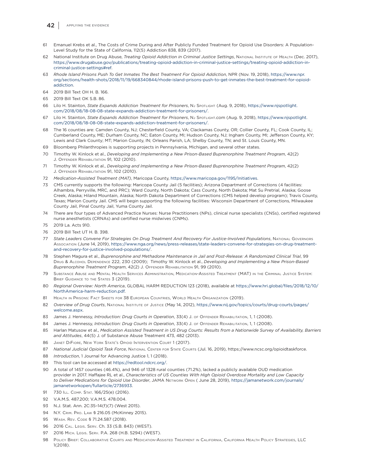

- 61 Emanuel Krebs et al., The Costs of Crime During and After Publicly Funded Treatment for Opioid Use Disorders: A Population-Level Study for the State of California, 112(5) Addiction 838, 839 (2017).
- 62 National Institute on Drug Abuse, *Treating Opioid Addiction in Criminal Justice Settings*, NATIONAL INSTITUTE OF HEALTH (Dec. 2017), [https://www.drugabuse.gov/publications/treating-opioid-addiction-in-criminal-justice-settings/treating-opioid-addiction-in](https://www.drugabuse.gov/publications/treating-opioid-addiction-in-criminal-justice-settings/treating-opioid-addiction-in-criminal-justice-settings#ref)[criminal-justice-settings#ref.](https://www.drugabuse.gov/publications/treating-opioid-addiction-in-criminal-justice-settings/treating-opioid-addiction-in-criminal-justice-settings#ref)
- 63 *Rhode Island Prisons Push To Get Inmates The Best Treatment For Opioid Addiction*, NPR (Nov. 19, 2018), [https://www.npr.](https://www.npr.org/sections/health-shots/2018/11/19/668340844/rhode-island-prisons-push-to-get-inmates-the-best-treatment-for-opioid-addiction) [org/sections/health-shots/2018/11/19/668340844/rhode-island-prisons-push-to-get-inmates-the-best-treatment-for-opioid](https://www.npr.org/sections/health-shots/2018/11/19/668340844/rhode-island-prisons-push-to-get-inmates-the-best-treatment-for-opioid-addiction)[addiction.](https://www.npr.org/sections/health-shots/2018/11/19/668340844/rhode-island-prisons-push-to-get-inmates-the-best-treatment-for-opioid-addiction)
- 64 2019 Bill Text OH H. B. 166.
- 65 2019 Bill Text OK S.B. 86.
- 66 Lilo H. Stainton, *State Expands Addiction Treatment for Prisoners*, NJ SPOTLIGHT (Aug. 9, 2018), [https://www.njspotlight.](https://www.njspotlight.com/2018/08/18-08-08-state-expands-addiction-treatment-for-prisoners/) [com/2018/08/18-08-08-state-expands-addiction-treatment-for-prisoners/](https://www.njspotlight.com/2018/08/18-08-08-state-expands-addiction-treatment-for-prisoners/).
- Lilo H. Stainton, State Expands Addiction Treatment for Prisoners, NJ SpoтLIGHT.com (Aug. 9, 2018), [https://www.njspotlight.](https://www.njspotlight.com/2018/08/18-08-08-state-expands-addiction-treatment-for-prisoners/) [com/2018/08/18-08-08-state-expands-addiction-treatment-for-prisoners/](https://www.njspotlight.com/2018/08/18-08-08-state-expands-addiction-treatment-for-prisoners/).
- 68 The 16 counties are: Camden County, NJ; Chesterfield County, VA; Clackamas County, OR; Collier County, FL; Cook County, IL; Cumberland County, ME; Durham County, NC; Eaton County, MI; Hudson County, NJ; Ingham County, MI; Jefferson County, KY; Lewis and Clark County; MT; Marion County, IN; Orleans Parish, LA; Shelby County, TN; and St. Louis County, MN.
- 69 Bloomberg Philanthropies is supporting projects in Pennsylvania, Michigan, and several other states.
- 70 Timothy W. Kinlock et al., *Developing and Implementing a New Prison-Based Buprenorphine Treatment Program*, 42(2) J. OFFENDER REHABILITATION 91, 102 (2010).
- 71 Timothy W. Kinlock et al., *Developing and Implementing a New Prison-Based Buprenorphine Treatment Program*, 42(2) J. OFFENDER REHABILITATION 91, 102 (2010).
- 72 *Medication-Assisted Treatment (MAT)*, Maricopa County, [https://www.maricopa.gov/1195/Initiatives.](https://www.maricopa.gov/1195/Initiatives)
- 73 CMS currently supports the following: Maricopa County Jail (5 facilities); Arizona Department of Corrections (4 facilities: Alhambra, Perryville, MRC, and PRC); Ward County, North Dakota; Cass County, North Dakota; Mat Su Pretrial, Alaska; Goose Creek, Alaska; Hiland Mountain, Alaska; North Dakota Department of Corrections (CMS helped develop program); Travis County, Texas; Marion County Jail. CMS will begin supporting the following facilities: Wisconsin Department of Corrections, Milwaukee County Jail, Pinal County Jail, Yuma County Jail.
- 74 There are four types of Advanced Practice Nurses: Nurse Practitioners (NPs), clinical nurse specialists (CNSs), certified registered nurse anesthetists (CRNAs) and certified nurse midwives (CNMs).
- 75 2019 La. Acts 910.
- 76 2019 Bill Text UT H. B. 398.
- 77 *State Leaders Convene For Strategies On Drug Treatment And Recovery For Justice-Involved Populations*, National Governors Association (June 14, 2019), [https://www.nga.org/news/press-releases/state-leaders-convene-for-strategies-on-drug-treatment](https://www.nga.org/news/press-releases/state-leaders-convene-for-strategies-on-drug-treatment-and-recovery-for-justice-involved-populations/)[and-recovery-for-justice-involved-populations/.](https://www.nga.org/news/press-releases/state-leaders-convene-for-strategies-on-drug-treatment-and-recovery-for-justice-involved-populations/)
- 78 Stephen Magura et al., *Buprenorphine and Methadone Maintenance in Jail and Post-Release: A Randomized Clinical Trial*, 99 Drug & Alcohol Dependence 222, 230 (2009); Timothy W. Kinlock et al., *Developing and Implementing a New Prison-Based Buprenorphine Treatment Program*, 42(2) J. Offender Rehabilitation 91, 99 (2010).
- 79 Substance Abuse and Mental Health Services Administration, Medication-Assisted Treatment (MAT) in the Criminal Justice System: BRIEF GUIDANCE TO THE STATES 3 (2019).
- 80 *Regional Overview: North America*, GLOBAL HARM REDUCTION 123 (2018), available at [https://www.hri.global/files/2018/12/10/](https://www.hri.global/files/2018/12/10/NorthAmerica-harm-reduction.pdf) [NorthAmerica-harm-reduction.pdf](https://www.hri.global/files/2018/12/10/NorthAmerica-harm-reduction.pdf).
- 81 HEALTH IN PRISONS: FACT SHEETS FOR 38 EUROPEAN COUNTRIES, WORLD HEALTH ORGANIZATION (2019).
- 82 *Overview of Drug Courts*, NATIONAL INSTITUTE OF JUSTICE (May 14, 2012), [https://www.nij.gov/topics/courts/drug-courts/pages/](https://www.nij.gov/topics/courts/drug-courts/pages/welcome.aspx) [welcome.aspx.](https://www.nij.gov/topics/courts/drug-courts/pages/welcome.aspx)
- 83 James J. Hennessy, *Introduction: Drug Courts in Operation*, 33(4) J. OF OFFENDER REHABILITATION, 1, 1 (2008).
- 84 James J. Hennessy, *Introduction: Drug Courts in Operation*, 33(4) J. of Offender Rehabilitation, 1, 1 (2008).
- 85 Harlan Matusow et al., *Medication Assisted Treatment in US Drug Courts: Results from a Nationwide Survey of Availability, Barriers and Attitudes*, 44(5) J. of Substance Abuse Treatment 473, 482 (2013).
- 86 JANET DIFIORE, NEW YORK STATE'S OPIOID INTERVENTION COURT 1 (2017).
- 87 *National Judicial Opioid Task Force*, National Center for State Courts (Jul. 16, 2019), https://www.ncsc.org/opioidtaskforce.
- 88 *Introduction*, 1 Journal for Advancing Justice 1, 1 (2018).
- 89 This tool can be accessed at [https://redtool.ndcrc.org/.](https://redtool.ndcrc.org/)
- 90 A total of 1457 counties (46.4%), and 946 of 1328 rural counties (71.2%), lacked a publicly available OUD medication provider in 2017. Haffajee RL et al., *Characteristics of US Counties With High Opioid Overdose Mortality and Low Capacity to Deliver Medications for Opioid Use Disorder*, JAMA Network Open ( June 28, 2019), [https://jamanetwork.com/journals/](https://jamanetwork.com/journals/jamanetworkopen/fullarticle/2736933) [jamanetworkopen/fullarticle/2736933](https://jamanetwork.com/journals/jamanetworkopen/fullarticle/2736933).
- 91 730 ILL. COMP. STAT. 166/25(e) (2016).
- 92 V.A.M.S. 487.200; V.A.M.S. 478.004.
- 93 N.J. Stat. Ann. 2C:35–14(f)(7) (West 2015).
- 94 N.Y. Crim. Pro. Law § 216.05 (McKinney 2015).
- 95 WASH. REV. CODE § 71.24.587 (2018).
- 96 2016 Cal. Legis. Serv. Ch. 33 (S.B. 843) (WEST).
- 97 2016 MICH. LEGIS. SERV. P.A. 268 (H.B. 5294) (WEST).
- 98 Policy Brief: Collaborative Courts and Medication-Assisted Treatment in California, California Health Policy Strategies, LLC 1(2018).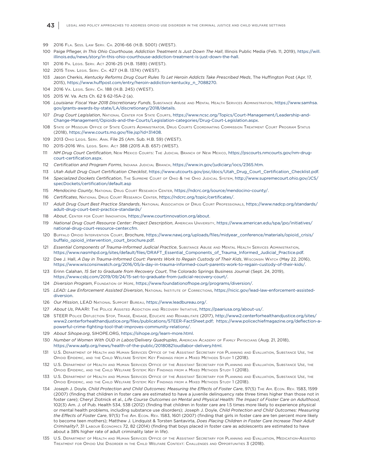- 99 2016 Fla. Sess. Law Serv. Ch. 2016-66 (H.B. 5001) (WEST).
- 100 Paige Pfleger, *In This Ohio Courthouse, Addiction Treatment Is Just Down The Hall*, Illinois Public Media (Feb. 11, 2019), [https://will.](https://will.illinois.edu/news/story/in-this-ohio-courthouse-addiction-treatment-is-just-down-the-hall) [illinois.edu/news/story/in-this-ohio-courthouse-addiction-treatment-is-just-down-the-hall.](https://will.illinois.edu/news/story/in-this-ohio-courthouse-addiction-treatment-is-just-down-the-hall)
- 101 2016 Pa. Legis. Serv. Act 2016-25 (H.B. 1589) (WEST).
- 102 2015 Tenn. Legis. Serv. Ch. 427 (H.B. 1374) (WEST).
- 103 Jason Cherkis, *Kentucky Reforms Drug Court Rules To Let Heroin Addicts Take Prescribed Meds*, The Huffington Post (Apr. 17, 2015), [https://www.huffpost.com/entry/heroin-addiction-kentucky\\_n\\_7088270.](https://www.huffpost.com/entry/heroin-addiction-kentucky_n_7088270)
- 104 2016 Va. Legis. Serv. Ch. 188 (H.B. 245) (WEST).
- 105 2015 W. Va. Acts Ch. 62 § 62-15A-2 (a).
- 106 *Louisiana: Fiscal Year 2018 Discretionary Funds*, Substance Abuse and Mental Health Services Administration, [https://www.samhsa.](https://www.samhsa.gov/grants-awards-by-state/LA/discretionary/2018/details) [gov/grants-awards-by-state/LA/discretionary/2018/details](https://www.samhsa.gov/grants-awards-by-state/LA/discretionary/2018/details).
- 107 *Drug Court Legislation*, National Center for State Courts, [https://www.ncsc.org/Topics/Court-Management/Leadership-and-](https://www.ncsc.org/Topics/Court-Management/Leadership-and-Change-Management/Opioids-and-the-Courts/Legislation-categories/Drug-Court-Legislation.aspx)[Change-Management/Opioids-and-the-Courts/Legislation-categories/Drug-Court-Legislation.aspx.](https://www.ncsc.org/Topics/Court-Management/Leadership-and-Change-Management/Opioids-and-the-Courts/Legislation-categories/Drug-Court-Legislation.aspx)
- 108 State of Missouri Office of State Courts Administrator, Drug Courts Coordinating Commission Treatment Court Program Status (2018), <https://www.courts.mo.gov/file.jsp?id=31408>.
- 109 2013 Ohio Legis. Serv. Ann. File 25 (Am. Sub. H.B. 59) (WEST).
- 110 2015-2016 Wis. Legis. Serv. Act 388 (2015 A.B. 657) (WEST).
- 111 *NM Drug Court Certification*, New Mexico Courts: The Judicial Branch of New Mexico, [https://pscourts.nmcourts.gov/nm-drug](https://pscourts.nmcourts.gov/nm-drug-court-certification.aspx)[court-certification.aspx](https://pscourts.nmcourts.gov/nm-drug-court-certification.aspx).
- 112 *Certification and Program Forms*, Indiana Judicial Branch, [https://www.in.gov/judiciary/iocs/2365.htm.](https://www.in.gov/judiciary/iocs/2365.htm)
- 113 *Utah Adult Drug Court Certification Checklist*, [https://www.utcourts.gov/psc/docs/Utah\\_Drug\\_Court\\_Certification\\_Checklist.pdf.](https://www.utcourts.gov/psc/docs/Utah_Drug_Court_Certification_Checklist.pdf)
- 114 *Specialized Dockets Certification*, The Supreme Court of Ohio & the Ohio Judicial System, [http://www.supremecourt.ohio.gov/JCS/](http://www.supremecourt.ohio.gov/JCS/specDockets/certification/default.asp) [specDockets/certification/default.asp](http://www.supremecourt.ohio.gov/JCS/specDockets/certification/default.asp)
- 115 *Mendocino County*, National Drug Court Research Center, <https://ndcrc.org/source/mendocino-county/>.
- 116 *Certificates*, National Drug Court Research Center, [https://ndcrc.org/topic/certificates/.](ttps://ndcrc.org/topic/certificates/)
- 117 *Adult Drug Court Best Practice Standards*, National Association of Drug Court Professionals, [https://www.nadcp.org/standards/](https://www.nadcp.org/standards/adult-drug-court-best-practice-standards/) [adult-drug-court-best-practice-standards/](https://www.nadcp.org/standards/adult-drug-court-best-practice-standards/)
- 118 *About*, Center for Court Innovation,<https://www.courtinnovation.org/about>.
- 119 *National Drug Court Resource Center: Project Description*, American University, [https://www.american.edu/spa/jpo/initiatives/](https://www.american.edu/spa/jpo/initiatives/national-drug-court-resource-center.cfm) [national-drug-court-resource-center.cfm](https://www.american.edu/spa/jpo/initiatives/national-drug-court-resource-center.cfm).
- 120 Buffalo Opioid Intervention Court, Brochure, [https://www.nawj.org/uploads/files/midyear\\_conference/materials/opioid\\_crisis/](https://www.nawj.org/uploads/files/midyear_conference/materials/opioid_crisis/buffalo_opioid_intervention_court_brochure.pdf) [buffalo\\_opioid\\_intervention\\_court\\_brochure.pdf.](https://www.nawj.org/uploads/files/midyear_conference/materials/opioid_crisis/buffalo_opioid_intervention_court_brochure.pdf)
- 121 *Essential Components of Trauma-Informed Judicial Practice*, SUBSTANCE ABUSE AND MENTAL HEALTH SERVICES ADMINISTRATION, [https://www.nasmhpd.org/sites/default/files/DRAFT\\_Essential\\_Components\\_of\\_Trauma\\_Informed\\_Judicial\\_Practice.pdf.](https://www.nasmhpd.org/sites/default/files/DRAFT_Essential_Components_of_Trauma_Informed_Judicial_Practice.pdf)
- 122 Dee J. Hall, A Day in Trauma-Informed Court: Parents Work to Regain Custody of Their Kids, Wisconsin WATCH (May 22, 2016), [https://www.wisconsinwatch.org/2016/05/a-day-in-trauma-informed-court-parents-work-to-regain-custody-of-their-kids/.](https://www.wisconsinwatch.org/2016/05/a-day-in-trauma-informed-court-parents-work-to-regain-custody-of-their-kids/)
- 123 Erinn Calahan, *15 Set to Graduate from Recovery Court*, The Colorado Springs Business Journal (Sept. 24, 2019), <https://www.csbj.com/2019/09/24/15-set-to-graduate-from-judicial-recovery-court/>.
- 124 *Diversion Program*, Foundation of Hope, https://www.foundationofhope.org/programs/diversion/.
- 125 *LEAD: Law Enforcement Assisted Diversion*, National Institute of Corrections, [https://nicic.gov/lead-law-enforcement-assisted](https://nicic.gov/lead-law-enforcement-assisted-diversion)[diversion.](https://nicic.gov/lead-law-enforcement-assisted-diversion)
- 126 *Our Mission*, LEAD National Support Bureau, <https://www.leadbureau.org/>.
- 127 *About Us*, PAARI: The Police Assisted Addiction and Recovery Initiative, <https://paariusa.org/about-us/>.
- 128 STEER Police Deflection Stop, Triage, Engage, Educate and Rehabilitate (2017), [http://www2.centerforhealthandjustice.org/sites/](http://www2.centerforhealthandjustice.org/sites/www2.centerforhealthandjustice.org/files/publications/STEER-FactSheet.pdf;  https://www.policechiefmagazine.org/deflection-a-powerful-crime-fighting-tool-that-improves-community-relations/) [www2.centerforhealthandjustice.org/files/publications/STEER-FactSheet.pdf; https://www.policechiefmagazine.org/deflection-a](http://www2.centerforhealthandjustice.org/sites/www2.centerforhealthandjustice.org/files/publications/STEER-FactSheet.pdf;  https://www.policechiefmagazine.org/deflection-a-powerful-crime-fighting-tool-that-improves-community-relations/)[powerful-crime-fighting-tool-that-improves-community-relations/.](http://www2.centerforhealthandjustice.org/sites/www2.centerforhealthandjustice.org/files/publications/STEER-FactSheet.pdf;  https://www.policechiefmagazine.org/deflection-a-powerful-crime-fighting-tool-that-improves-community-relations/)
- 129 *About Sihope.org*, SIHOPE.ORG, [https://sihope.org/learn-more.html.](https://sihope.org/learn-more.html)
- 130 *Number of Women With OUD in Labor/Delivery Quadruples*, American Academy of Family Physicians (Aug. 21, 2018), [https://www.aafp.org/news/health-of-the-public/20180821oudlabor-delivery.html.](https://www.aafp.org/news/health-of-the-public/20180821oudlabor-delivery.html)
- 131 U.S. Department of Health and Human Services Office of the Assistant Secretary for Planning and Evaluation, Substance Use, the Opioid Epidemic, and the Child Welfare System: Key Findings from <sup>a</sup> Mixed Methods Study 1 (2018).
- 132 U.S. Department of Health and Human Services Office of the Assistant Secretary for Planning and Evaluation, Substance Use, the Opioid Epidemic, and the Child Welfare System: Key Findings from <sup>a</sup> Mixed Methods Study 1 (2018).
- 133 U.S. Department of Health and Human Services Office of the Assistant Secretary for Planning and Evaluation, Substance Use, the Opioid Epidemic, and the Child Welfare System: Key Findings from <sup>a</sup> Mixed Methods Study 1 (2018).
- 134 Joseph J. Doyle, *Child Protection and Child Outcomes: Measuring the Effects of Foster Care*, 97(5) The Am. Econ. Rev. 1583, 1599 (2007) (finding that children in foster care are estimated to have a juvenile delinquency rate three times higher than those not in foster care); Cheryl Zlotnick et al., *Life Course Outcomes on Mental and Physical Health: The Impact of Foster Care on Adulthood*, 102(3) Am. J. of Pub. Health 534, 538 (2012) (finding that children in foster care are 1.5 times more likely to experience physical or mental health problems, including substance use disorders); Joseph J. Doyle, *Child Protection and Child Outcomes: Measuring the Effects of Foster Care*, 97(5) The Am. Econ. Rev. 1583, 1601 (2007) (finding that girls in foster care are ten percent more likely to become teen mothers); Matthew J. Lindquist & Torsten Santavirta, *Does Placing Children in Foster Care Increase Their Adult Criminality?*, 31 Labour Economics 72, 82 (2014) (finding that boys placed in foster care as adolescents are estimated to have about a 38% higher rate of adult criminality later in life).
- 135 U.S. Department of Health and Human Services Office of the Assistant Secretary for Planning and Evaluation, Medication-Assisted Treatment for Opioid Use Disorder in the Child Welfare Context: Challenges and Opportunities 3 (2018).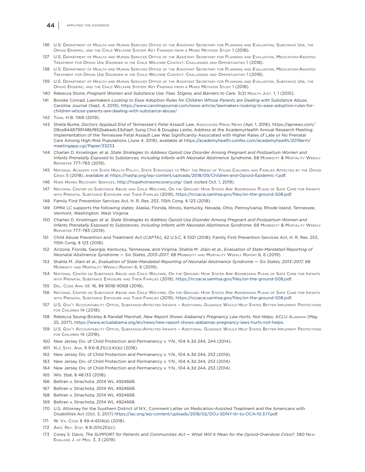#### 44 APPLYING THE EVIDENCE

- 136 U.S. Department of Health and Human Services Office of the Assistant Secretary for Planning and Evaluation, Substance Use, the Opioid Epidemic, and the Child Welfare System: Key Findings from <sup>a</sup> Mixed Methods Study 1 (2018).
- 137 U.S. Department of Health and Human Services Office of the Assistant Secretary for Planning and Evaluation, Medication-Assisted Treatment for Opioid Use Disorder in the Child Welfare Context: Challenges and Opportunities 1 (2018).
- 138 U.S. Department of Health and Human Services Office of the Assistant Secretary for Planning and Evaluation, Medication-Assisted Treatment for Opioid Use Disorder in the Child Welfare Context: Challenges and Opportunities 1 (2018).
- 139 U.S. Department of Health and Human Services Office of the Assistant Secretary for Planning and Evaluation, Substance Use, the Opioid Epidemic, and the Child Welfare System: Key Findings from <sup>a</sup> Mixed Methods Study 1 (2018).
- 140 Rebecca Stone, *Pregnant Women and Substance Use: Fear, Stigma, and Barriers to Care*, 3(2) Health Just. 1, 1 (2015).
- 141 Brooke Conrad, *Lawmakers Looking to Ease Adoption Rules for Children Whose Parents are Dealing with Substance Abuse*, Carolina Journal (Sept. 4, 2019), [https://www.carolinajournal.com/news-article/lawmakers-looking-to-ease-adoption-rules-for](https://www.carolinajournal.com/news-article/lawmakers-looking-to-ease-adoption-rules-for-children-whose-parents-are-dealing-with-substance-abuse/)[children-whose-parents-are-dealing-with-substance-abuse/.](https://www.carolinajournal.com/news-article/lawmakers-looking-to-ease-adoption-rules-for-children-whose-parents-are-dealing-with-substance-abuse/)
- 142 Tenn. H.B. 1168 (2019).
- 143 Sheila Burke, *Doctors Applaud End of Tennessee's Fetal Assault Law*, Associated Press News (Apr. 1, 2016), https://apnews.com/ 08ce8448799148bf852babadc33d1aef; Sung Choi & Douglas Leslie, Address at the AcademyHealth Annual Research Meeting: Implementation of the Tennessee Fetal Assault Law Was Significantly Associated with Higher Rates of Late or No Prenatal Care Among High-Risk Populations (June 4, 2019), available at [https://academyhealth.confex.com/academyhealth/2019arm/](https://academyhealth.confex.com/academyhealth/2019arm/meetingapp.cgi/Paper/33233) [meetingapp.cgi/Paper/33233.](https://academyhealth.confex.com/academyhealth/2019arm/meetingapp.cgi/Paper/33233)
- 144 Charlan D. Kroelinger, et al. *State Strategies to Address Opioid Use Disorder Among Pregnant and Postpartum Women and*  Infants Prenatally Exposed to Substances, Including Infants with Neonatal Abstinence Syndrome. 68 Morbidity & MortaLity WEEKLY Reporter 777–783 (2019).
- 145 National Academy for State Health Policy, State Strategies to Meet the Needs of Young Children and Families Affected by the Opioid Crisis 5 (2018), [available at https://nashp.org/wp-content/uploads/2018/09/Children-and-Opioid-Epidemic-1.pdf.](available at https://nashp.org/wp-content/uploads/2018/09/Children-and-Opioid-Epidemic-1.pdf)
- 146 Hope Homes Recovery Services,<http://hopehomesrecovery.org/>(last visited Oct. 1, 2019).
- 147 National Center on Substance Abuse and Child Welfare, On the Ground: How States Are Addressing Plans of Safe Care for Infants with Prenatal Substance Exposure and Their Families (2019), [https://ncsacw.samhsa.gov/files/on-the-ground-508.pdf.]( https://ncsacw.samhsa.gov/files/on-the-ground-508.pdf)
- 148 Family First Prevention Services Act, H. R. Res. 253, 115th Cong. § 123 (2018).
- 149 OMNI LC supports the following states: Alaska, Florida, Illinois, Kentucky, Nevada, Ohio, Pennsylvania, Rhode Island, Tennessee, Vermont, Washington, West Virginia
- 150 Charlan D. Kroelinger, et al. *State Strategies to Address Opioid Use Disorder Among Pregnant and Postpartum Women and*  Infants Prenatally Exposed to Substances, Including Infants with Neonatal Abstinence Syndrome. 68 Moreabity & Mortality Weekly Reporter 777–783 (2019).
- 151 Child Abuse Prevention and Treatment Act (CAPTA), 42 U.S.C. § 5101 (2018); Family First Prevention Services Act, H. R. Res. 253, 115th Cong. § 123 (2018).
- 152 Arizona, Florida, Georgia, Kentucky, Tennessee, and Virginia. Shahla M. Jilani et al., *Evaluation of State-Mandated Reporting of Neonatal Abstinence Syndrome — Six States, 2013–2017*, 68 Morbidity and Mortality Weekly Report 6, 6 (2019).
- 153 Shahla M. Jilani et al., *Evaluation of State-Mandated Reporting of Neonatal Abstinence Syndrome Six States, 2013–2017,* 68 Morbidity and Mortality Weekly Report 6, 6 (2019).
- 154 National Center on Substance Abuse and Child Welfare, On the Ground: How States Are Addressing Plans of Safe Care for Infants with Prenatal Substance Exposure and Their Families (2019), [https://ncsacw.samhsa.gov/files/on-the-ground-508.pdf.](https://ncsacw.samhsa.gov/files/on-the-ground-508.pdf)
- 155 Del. Code Ann. tit. 16, §§ 901B-906B (2018).
- 156 National Center on Substance Abuse and Child Welfare, On the Ground: How States Are Addressing Plans of Safe Care for Infants with Prenatal Substance Exposure and Their Families (2019), [https://ncsacw.samhsa.gov/files/on-the-ground-508.pdf.]( https://ncsacw.samhsa.gov/files/on-the-ground-508.pdf)
- 157 U.S. Gov't Accountability Office, Substance-Affected Infants Additional Guidance Would Help States Better Implement Protections for Children 14 (2018).
- 158 Rebecca Seung-Bickley & Randall Marshall, *New Report Shows Alabama's Pregnancy Law Hurts, Not Helps,* ACLU Alabama (May 25, 2017), <https://www.aclualabama.org/en/news/new-report-shows-alabamas-pregnancy-laws-hurts-not-helps>.
- 159 U.S. Gov't Accountability Office, Substance-Affected Infants Additional Guidance Would Help States Better Implement Protections for Children 14 (2018).
- 160 New Jersey Div. of Child Protection and Permanency v. Y.N., 104 A.3d 244, 244 (2014).
- 1611 N.J. Stat. Ann. § 9:6-8.21(c)(4)(b) (2018).
- 162 New Jersey Div. of Child Protection and Permanency v. Y.N., 104 A.3d 244, 253 (2014).
- 163 New Jersey Div. of Child Protection and Permanency v. Y.N., 104 A.3d 244, 253 (2014).
- 164 New Jersey Div. of Child Protection and Permanency v. Y.N., 104 A.3d 244, 253 (2014).
- 165 Wis. Stat. § 48.133 (2018).
- 166 Beltran v. Strachota, 2014 WL 4924668.
- 167 Beltran v. Strachota, 2014 WL 4924668.
- 168 Beltran v. Strachota, 2014 WL 4924668.
- 169 Beltran v. Strachota, 2014 WL 4924668.
- 170 U.S. Attorney for the Southern District of N.Y., Comment Letter on Medication-Assisted Treatment and the Americans with Disabilities Act (Oct. 3, 2017)<https://lac.org/wp-content/uploads/2018/02/DOJ-SDNY-ltr-to-OCA-10.3.17.pdf>.
- 171 W. VA. CODE § 49-4-604(e) (2018).
- 172 Ariz. Rev. Stat. § 8-201(25)(c).
- 173 Corey S. Davis, *The SUPPORT for Patients and Communities Act What Will It Mean for the Opioid-Overdose Crisis?*, 380 New England J. of Med. 3, 3 (2019).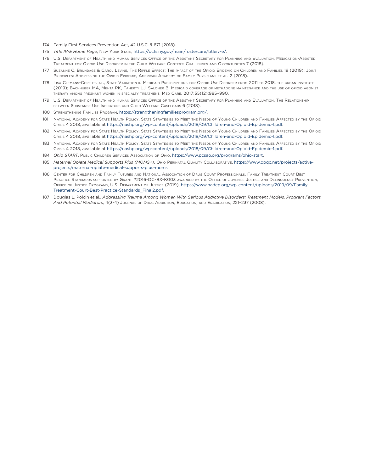- 174 Family First Services Prevention Act, 42 U.S.C. § 671 (2018).
- 175 *Title IV-E Home Page*, New York State,<https://ocfs.ny.gov/main/fostercare/titleiv-e/>.
- 176 U.S. Department of Health and Human Services Office of the Assistant Secretary for Planning and Evaluation, Medication-Assisted Treatment for Opioid Use Disorder in the Child Welfare Context: Challenges and Opportunities 7 (2018).
- 177 Suzanne C. Brundage & Carol Levine, The Ripple Effect: The Impact of the Opioid Epidemic on Children and Families 19 (2019); Joint Principles: Addressing the Opioid Epidemic, American Academy of Family Physicians et al. 2 (2018).
- 178 Lisa Clemans-Cope et. al., State Variation in Medicaid Prescriptions for Opioid Use Disorder from 2011 to 2018, the urban institute (2019); Bachhuber MA, Mehta PK, Faherty LJ, Saloner B. Medicaid coverage of methadone maintenance and the use of opioid agonist therapy among pregnant women in specialty treatment. Med Care. 2017;55(12):985–990.
- 179 U.S. Department of Health and Human Services Office of the Assistant Secretary for Planning and Evaluation, The Relationship between Substance Use Indicators and Child Welfare Caseloads 6 (2018).
- 180 Strengthening Families Program,<https://strengtheningfamiliesprogram.org/>.
- 181 National Academy for State Health Policy, State Strategies to Meet the Needs of Young Children and Families Affected by the Opioid Crisis 4 2018, available at [https://nashp.org/wp-content/uploads/2018/09/Children-and-Opioid-Epidemic-1.pdf.](https://nashp.org/wp-content/uploads/2018/09/Children-and-Opioid-Epidemic-1.pdf)
- 182 National Academy for State Health Policy, State Strategies to Meet the Needs of Young Children and Families Affected by the Opioid Crisis 4 2018, available at [https://nashp.org/wp-content/uploads/2018/09/Children-and-Opioid-Epidemic-1.pdf.](https://nashp.org/wp-content/uploads/2018/09/Children-and-Opioid-Epidemic-1.pdf)
- 183 National Academy for State Health Policy, State Strategies to Meet the Needs of Young Children and Families Affected by the Opioid Crisis 4 2018, available at [https://nashp.org/wp-content/uploads/2018/09/Children-and-Opioid-Epidemic-1.pdf.](https://nashp.org/wp-content/uploads/2018/09/Children-and-Opioid-Epidemic-1.pdf)
- 184 *Ohio START*, PUBLIC CHILDREN SERVICES Association of Ohio, <https://www.pcsao.org/programs/ohio-start>.
- 185 *Maternal Opiate Medical Supports Plus (MOMS+)*, Ohio Perinatal Quality Collaborative, [https://www.opqc.net/projects/active](https://www.opqc.net/projects/active-projects/maternal-opiate-medical-supports-plus-moms)[projects/maternal-opiate-medical-supports-plus-moms](https://www.opqc.net/projects/active-projects/maternal-opiate-medical-supports-plus-moms).
- 186 Center for Children and Family Futures and National Association of Drug Court Professionals, Family Treatment Court Best Practice Standards supported by Grant #2016-DC-BX-K003 awarded by the Office of Juvenile Justice and Delinquency Prevention, Office of Justice Programs, U.S. Department of Justice (2019), [https://www.nadcp.org/wp-content/uploads/2019/09/Family-](https://www.nadcp.org/wp-content/uploads/2019/09/Family-Treatment-Court-Best-Practice-Standards_Final2.pdf)[Treatment-Court-Best-Practice-Standards\\_Final2.pdf](https://www.nadcp.org/wp-content/uploads/2019/09/Family-Treatment-Court-Best-Practice-Standards_Final2.pdf).
- 187 Douglas L. Polcin et al., *Addressing Trauma Among Women With Serious Addictive Disorders: Treatment Models, Program Factors, And Potential Mediators*, 4(3-4) Journal of Drug Addiction, Education, and Eradication, 221–237 (2008).